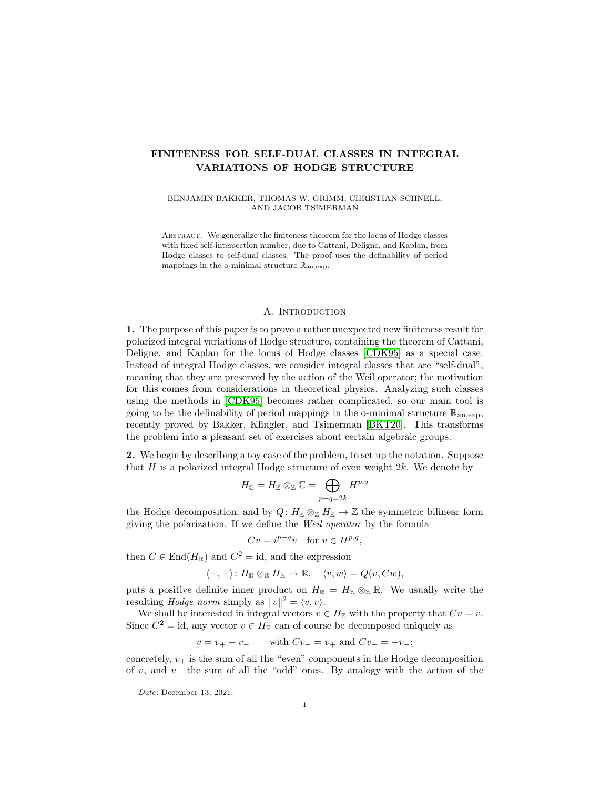# FINITENESS FOR SELF-DUAL CLASSES IN INTEGRAL VARIATIONS OF HODGE STRUCTURE

BENJAMIN BAKKER, THOMAS W. GRIMM, CHRISTIAN SCHNELL, AND JACOB TSIMERMAN

Abstract. We generalize the finiteness theorem for the locus of Hodge classes with fixed self-intersection number, due to Cattani, Deligne, and Kaplan, from Hodge classes to self-dual classes. The proof uses the definability of period mappings in the o-minimal structure  $\mathbb{R}_{an,exp}$ .

## A. INTRODUCTION

1. The purpose of this paper is to prove a rather unexpected new finiteness result for polarized integral variations of Hodge structure, containing the theorem of Cattani, Deligne, and Kaplan for the locus of Hodge classes [\[CDK95\]](#page-25-0) as a special case. Instead of integral Hodge classes, we consider integral classes that are "self-dual", meaning that they are preserved by the action of the Weil operator; the motivation for this comes from considerations in theoretical physics. Analyzing such classes using the methods in [\[CDK95\]](#page-25-0) becomes rather complicated, so our main tool is going to be the definability of period mappings in the o-minimal structure  $\mathbb{R}_{an,exp}$ , recently proved by Bakker, Klingler, and Tsimerman [\[BKT20\]](#page-24-0). This transforms the problem into a pleasant set of exercises about certain algebraic groups.

2. We begin by describing a toy case of the problem, to set up the notation. Suppose that H is a polarized integral Hodge structure of even weight  $2k$ . We denote by

$$
H_{\mathbb C}=H_{\mathbb Z}\otimes_{\mathbb Z} {\mathbb C}=\bigoplus_{p+q=2k}H^{p,q}
$$

the Hodge decomposition, and by  $Q: H_{\mathbb{Z}} \otimes_{\mathbb{Z}} H_{\mathbb{Z}} \to \mathbb{Z}$  the symmetric bilinear form giving the polarization. If we define the Weil operator by the formula

$$
Cv = i^{p-q}v \quad \text{for } v \in H^{p,q},
$$

then  $C \in End(H_{\mathbb{R}})$  and  $C^2 = id$ , and the expression

$$
\langle -, - \rangle \colon H_{\mathbb{R}} \otimes_{\mathbb{R}} H_{\mathbb{R}} \to \mathbb{R}, \quad \langle v, w \rangle = Q(v, Cw),
$$

puts a positive definite inner product on  $H_{\mathbb{R}} = H_{\mathbb{Z}} \otimes_{\mathbb{Z}} \mathbb{R}$ . We usually write the resulting *Hodge norm* simply as  $||v||^2 = \langle v, v \rangle$ .

We shall be interested in integral vectors  $v \in H_{\mathbb{Z}}$  with the property that  $Cv = v$ . Since  $C^2 = id$ , any vector  $v \in H_{\mathbb{R}}$  can of course be decomposed uniquely as

$$
v = v_+ + v_-
$$
 with  $Cv_+ = v_+$  and  $Cv_- = -v_-$ ;

concretely,  $v_+$  is the sum of all the "even" components in the Hodge decomposition of v, and v<sub> $\sim$ </sub> the sum of all the "odd" ones. By analogy with the action of the

Date: December 13, 2021.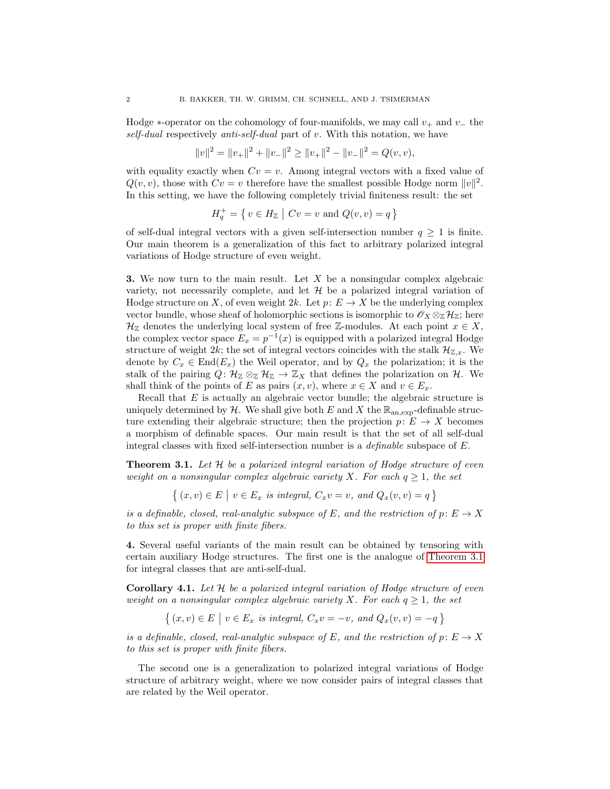Hodge  $*$ -operator on the cohomology of four-manifolds, we may call  $v_+$  and  $v_-$  the self-dual respectively anti-self-dual part of v. With this notation, we have

$$
||v||2 = ||v+||2 + ||v-||2 \ge ||v+||2 - ||v-||2 = Q(v, v),
$$

with equality exactly when  $Cv = v$ . Among integral vectors with a fixed value of  $Q(v, v)$ , those with  $Cv = v$  therefore have the smallest possible Hodge norm  $||v||^2$ . In this setting, we have the following completely trivial finiteness result: the set

$$
H_q^+ = \{ v \in H_\mathbb{Z} \mid Cv = v \text{ and } Q(v, v) = q \}
$$

of self-dual integral vectors with a given self-intersection number  $q \geq 1$  is finite. Our main theorem is a generalization of this fact to arbitrary polarized integral variations of Hodge structure of even weight.

**3.** We now turn to the main result. Let  $X$  be a nonsingular complex algebraic variety, not necessarily complete, and let  $\mathcal H$  be a polarized integral variation of Hodge structure on X, of even weight  $2k$ . Let  $p: E \to X$  be the underlying complex vector bundle, whose sheaf of holomorphic sections is isomorphic to  $\mathscr{O}_X \otimes_{\mathbb{Z}} \mathcal{H}_{\mathbb{Z}}$ ; here  $\mathcal{H}_{\mathbb{Z}}$  denotes the underlying local system of free  $\mathbb{Z}$ -modules. At each point  $x \in X$ , the complex vector space  $E_x = p^{-1}(x)$  is equipped with a polarized integral Hodge structure of weight 2k; the set of integral vectors coincides with the stalk  $\mathcal{H}_{\mathbb{Z},x}$ . We denote by  $C_x \in End(E_x)$  the Weil operator, and by  $Q_x$  the polarization; it is the stalk of the pairing  $Q: \mathcal{H}_{\mathbb{Z}} \otimes_{\mathbb{Z}} \mathcal{H}_{\mathbb{Z}} \to \mathbb{Z}_X$  that defines the polarization on  $\mathcal{H}$ . We shall think of the points of E as pairs  $(x, v)$ , where  $x \in X$  and  $v \in E_x$ .

Recall that  $E$  is actually an algebraic vector bundle; the algebraic structure is uniquely determined by  $H$ . We shall give both E and X the  $\mathbb{R}_{\text{an,exp}}$ -definable structure extending their algebraic structure; then the projection  $p: E \to X$  becomes a morphism of definable spaces. Our main result is that the set of all self-dual integral classes with fixed self-intersection number is a definable subspace of E.

<span id="page-1-0"></span>**Theorem 3.1.** Let  $H$  be a polarized integral variation of Hodge structure of even weight on a nonsingular complex algebraic variety X. For each  $q \geq 1$ , the set

 $\{(x,v) \in E \mid v \in E_x \text{ is integral, } C_x v = v, \text{ and } Q_x(v,v) = q \}$ 

is a definable, closed, real-analytic subspace of E, and the restriction of  $p: E \to X$ to this set is proper with finite fibers.

4. Several useful variants of the main result can be obtained by tensoring with certain auxiliary Hodge structures. The first one is the analogue of [Theorem 3.1](#page-1-0) for integral classes that are anti-self-dual.

<span id="page-1-1"></span>**Corollary 4.1.** Let  $H$  be a polarized integral variation of Hodge structure of even weight on a nonsingular complex algebraic variety X. For each  $q \geq 1$ , the set

$$
\{(x,v) \in E \mid v \in E_x \text{ is integral}, C_x v = -v, \text{ and } Q_x(v,v) = -q \}
$$

is a definable, closed, real-analytic subspace of E, and the restriction of  $p: E \to X$ to this set is proper with finite fibers.

The second one is a generalization to polarized integral variations of Hodge structure of arbitrary weight, where we now consider pairs of integral classes that are related by the Weil operator.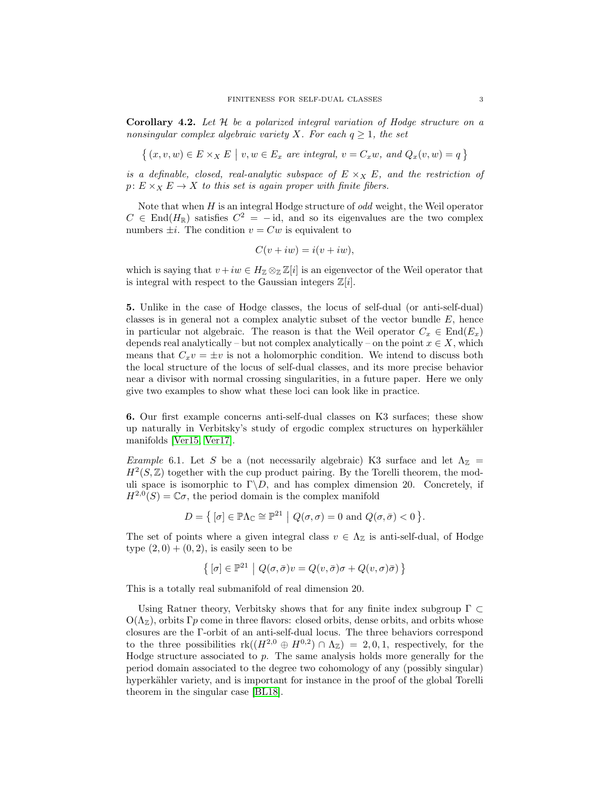<span id="page-2-0"></span>Corollary 4.2. Let H be a polarized integral variation of Hodge structure on a nonsingular complex algebraic variety X. For each  $q \geq 1$ , the set

$$
\{(x, v, w) \in E \times_X E \mid v, w \in E_x \text{ are integral, } v = C_x w, \text{ and } Q_x(v, w) = q \}
$$

is a definable, closed, real-analytic subspace of  $E \times_X E$ , and the restriction of  $p: E \times_X E \to X$  to this set is again proper with finite fibers.

Note that when  $H$  is an integral Hodge structure of  $odd$  weight, the Weil operator  $C \in End(H_{\mathbb{R}})$  satisfies  $C^2 = -id$ , and so its eigenvalues are the two complex numbers  $\pm i$ . The condition  $v = Cw$  is equivalent to

$$
C(v + iw) = i(v + iw),
$$

which is saying that  $v + iw \in H_{\mathbb{Z}} \otimes_{\mathbb{Z}} \mathbb{Z}[i]$  is an eigenvector of the Weil operator that is integral with respect to the Gaussian integers  $\mathbb{Z}[i]$ .

5. Unlike in the case of Hodge classes, the locus of self-dual (or anti-self-dual) classes is in general not a complex analytic subset of the vector bundle  $E$ , hence in particular not algebraic. The reason is that the Weil operator  $C_x \in End(E_x)$ depends real analytically – but not complex analytically – on the point  $x \in X$ , which means that  $C_xv = \pm v$  is not a holomorphic condition. We intend to discuss both the local structure of the locus of self-dual classes, and its more precise behavior near a divisor with normal crossing singularities, in a future paper. Here we only give two examples to show what these loci can look like in practice.

6. Our first example concerns anti-self-dual classes on K3 surfaces; these show up naturally in Verbitsky's study of ergodic complex structures on hyperkähler manifolds [\[Ver15,](#page-25-1) [Ver17\]](#page-25-2).

Example 6.1. Let S be a (not necessarily algebraic) K3 surface and let  $\Lambda_{\mathbb{Z}}$  =  $H^2(S,\mathbb{Z})$  together with the cup product pairing. By the Torelli theorem, the moduli space is isomorphic to  $\Gamma \backslash D$ , and has complex dimension 20. Concretely, if  $H^{2,0}(S) = \mathbb{C}\sigma$ , the period domain is the complex manifold

$$
D = \left\{ \left[ \sigma \right] \in \mathbb{P}\Lambda_{\mathbb{C}} \cong \mathbb{P}^{21} \middle| Q(\sigma, \sigma) = 0 \text{ and } Q(\sigma, \bar{\sigma}) < 0 \right\}.
$$

The set of points where a given integral class  $v \in \Lambda_{\mathbb{Z}}$  is anti-self-dual, of Hodge type  $(2,0) + (0,2)$ , is easily seen to be

$$
\left\{\,[\sigma]\in\mathbb{P}^{21}\ \big|\ Q(\sigma,\bar{\sigma})v=Q(v,\bar{\sigma})\sigma+Q(v,\sigma)\bar{\sigma})\,\right\}
$$

This is a totally real submanifold of real dimension 20.

Using Ratner theory, Verbitsky shows that for any finite index subgroup  $\Gamma \subset$  $O(\Lambda_{\mathbb{Z}})$ , orbits Γp come in three flavors: closed orbits, dense orbits, and orbits whose closures are the Γ-orbit of an anti-self-dual locus. The three behaviors correspond to the three possibilities  $rk((H^{2,0} \oplus H^{0,2}) \cap \Lambda_{\mathbb{Z}}) = 2,0,1$ , respectively, for the Hodge structure associated to  $p$ . The same analysis holds more generally for the period domain associated to the degree two cohomology of any (possibly singular) hyperkähler variety, and is important for instance in the proof of the global Torelli theorem in the singular case [\[BL18\]](#page-24-1).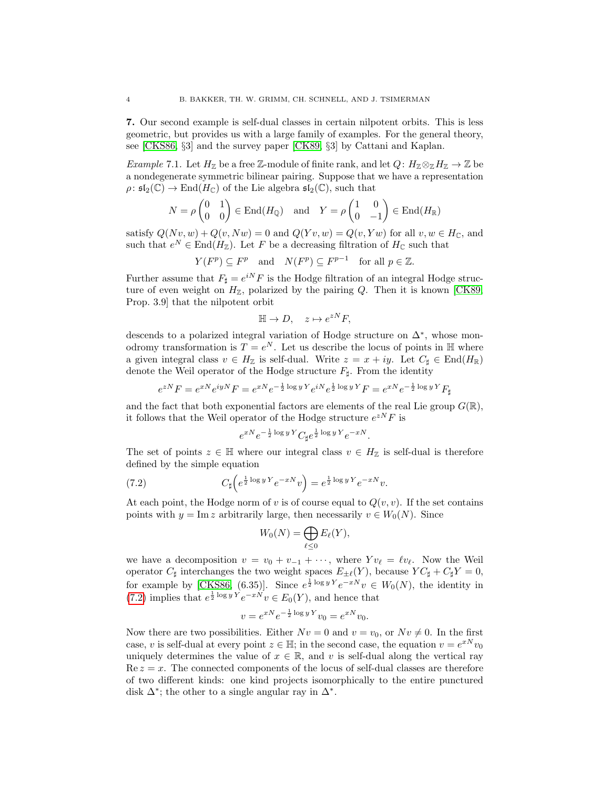7. Our second example is self-dual classes in certain nilpotent orbits. This is less geometric, but provides us with a large family of examples. For the general theory, see [\[CKS86,](#page-25-3) §3] and the survey paper [\[CK89,](#page-25-4) §3] by Cattani and Kaplan.

Example 7.1. Let  $H_{\mathbb{Z}}$  be a free Z-module of finite rank, and let  $Q: H_{\mathbb{Z}} \otimes_{\mathbb{Z}} H_{\mathbb{Z}} \to \mathbb{Z}$  be a nondegenerate symmetric bilinear pairing. Suppose that we have a representation  $\rho: \mathfrak{sl}_2(\mathbb{C}) \to \text{End}(H_{\mathbb{C}})$  of the Lie algebra  $\mathfrak{sl}_2(\mathbb{C})$ , such that

$$
N = \rho \begin{pmatrix} 0 & 1 \\ 0 & 0 \end{pmatrix} \in \text{End}(H_{\mathbb{Q}}) \quad \text{and} \quad Y = \rho \begin{pmatrix} 1 & 0 \\ 0 & -1 \end{pmatrix} \in \text{End}(H_{\mathbb{R}})
$$

satisfy  $Q(Nv, w) + Q(v, Nw) = 0$  and  $Q(Yv, w) = Q(v, Yw)$  for all  $v, w \in H_{\mathbb{C}}$ , and such that  $e^N \in \text{End}(H_{\mathbb{Z}})$ . Let F be a decreasing filtration of  $H_{\mathbb{C}}$  such that

$$
Y(F^p) \subseteq F^p
$$
 and  $N(F^p) \subseteq F^{p-1}$  for all  $p \in \mathbb{Z}$ .

Further assume that  $F_{\sharp} = e^{iN} F$  is the Hodge filtration of an integral Hodge structure of even weight on  $H_{\mathbb{Z}}$ , polarized by the pairing  $Q$ . Then it is known [\[CK89,](#page-25-4) Prop. 3.9] that the nilpotent orbit

$$
\mathbb{H} \to D, \quad z \mapsto e^{zN} F,
$$

descends to a polarized integral variation of Hodge structure on ∆<sup>∗</sup> , whose monodromy transformation is  $T = e^N$ . Let us describe the locus of points in H where a given integral class  $v \in H_{\mathbb{Z}}$  is self-dual. Write  $z = x + iy$ . Let  $C_{\sharp} \in \text{End}(H_{\mathbb{R}})$ denote the Weil operator of the Hodge structure  $F_{\sharp}$ . From the identity

$$
e^{zN}F = e^{xN}e^{iyN}F = e^{xN}e^{-\frac{1}{2}\log yY}e^{iN}e^{\frac{1}{2}\log yY}F = e^{xN}e^{-\frac{1}{2}\log yY}F_{\sharp}
$$

and the fact that both exponential factors are elements of the real Lie group  $G(\mathbb{R}),$ it follows that the Weil operator of the Hodge structure  $e^{zN}F$  is

<span id="page-3-0"></span>
$$
e^{xN}e^{-\frac{1}{2}\log yY}C_{\sharp}e^{\frac{1}{2}\log yY}e^{-xN}.
$$

The set of points  $z \in \mathbb{H}$  where our integral class  $v \in H_{\mathbb{Z}}$  is self-dual is therefore defined by the simple equation

(7.2) 
$$
C_{\sharp}\left(e^{\frac{1}{2}\log y \, Y}e^{-xN}v\right) = e^{\frac{1}{2}\log y \, Y}e^{-xN}v.
$$

At each point, the Hodge norm of v is of course equal to  $Q(v, v)$ . If the set contains points with  $y = \text{Im } z$  arbitrarily large, then necessarily  $v \in W_0(N)$ . Since

$$
W_0(N) = \bigoplus_{\ell \leq 0} E_{\ell}(Y),
$$

we have a decomposition  $v = v_0 + v_{-1} + \cdots$ , where  $Yv_\ell = \ell v_\ell$ . Now the Weil operator  $C_{\sharp}$  interchanges the two weight spaces  $E_{\pm\ell}(Y)$ , because  $YC_{\sharp} + C_{\sharp}Y = 0$ , for example by [\[CKS86,](#page-25-3) (6.35)]. Since  $e^{\frac{1}{2}\log y Y}e^{-xN}v \in W_0(N)$ , the identity in [\(7.2\)](#page-3-0) implies that  $e^{\frac{1}{2}\log y Y}e^{-xN}v \in E_0(Y)$ , and hence that

$$
v = e^{xN} e^{-\frac{1}{2} \log y Y} v_0 = e^{xN} v_0.
$$

Now there are two possibilities. Either  $Nv = 0$  and  $v = v_0$ , or  $Nv \neq 0$ . In the first case, v is self-dual at every point  $z \in \mathbb{H}$ ; in the second case, the equation  $v = e^{xN}v_0$ uniquely determines the value of  $x \in \mathbb{R}$ , and v is self-dual along the vertical ray  $Re z = x$ . The connected components of the locus of self-dual classes are therefore of two different kinds: one kind projects isomorphically to the entire punctured disk  $\Delta^*$ ; the other to a single angular ray in  $\Delta^*$ .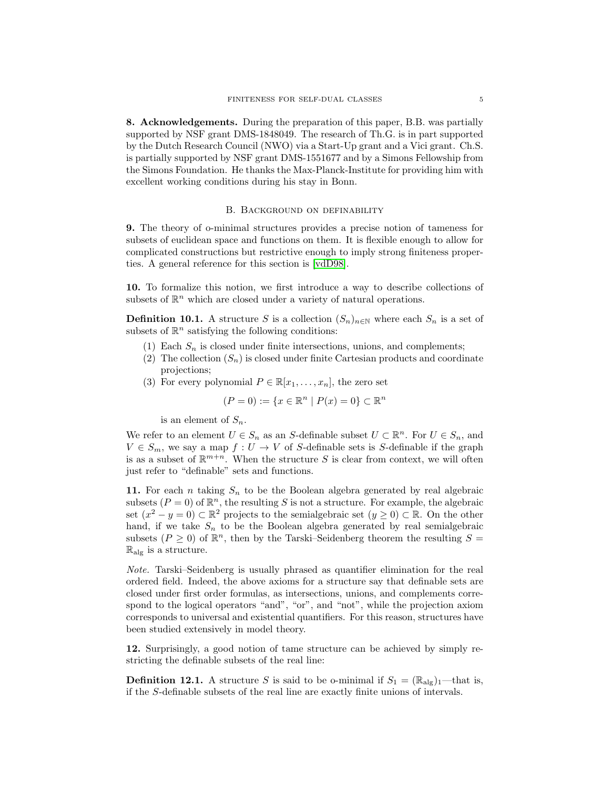8. Acknowledgements. During the preparation of this paper, B.B. was partially supported by NSF grant DMS-1848049. The research of Th.G. is in part supported by the Dutch Research Council (NWO) via a Start-Up grant and a Vici grant. Ch.S. is partially supported by NSF grant DMS-1551677 and by a Simons Fellowship from the Simons Foundation. He thanks the Max-Planck-Institute for providing him with excellent working conditions during his stay in Bonn.

### B. Background on definability

9. The theory of o-minimal structures provides a precise notion of tameness for subsets of euclidean space and functions on them. It is flexible enough to allow for complicated constructions but restrictive enough to imply strong finiteness properties. A general reference for this section is [\[vdD98\]](#page-25-5).

10. To formalize this notion, we first introduce a way to describe collections of subsets of  $\mathbb{R}^n$  which are closed under a variety of natural operations.

**Definition 10.1.** A structure S is a collection  $(S_n)_{n\in\mathbb{N}}$  where each  $S_n$  is a set of subsets of  $\mathbb{R}^n$  satisfying the following conditions:

- (1) Each  $S_n$  is closed under finite intersections, unions, and complements;
- (2) The collection  $(S_n)$  is closed under finite Cartesian products and coordinate projections;
- (3) For every polynomial  $P \in \mathbb{R}[x_1, \ldots, x_n]$ , the zero set

$$
(P = 0) := \{x \in \mathbb{R}^n \mid P(x) = 0\} \subset \mathbb{R}^n
$$

is an element of  $S_n$ .

We refer to an element  $U \in S_n$  as an S-definable subset  $U \subset \mathbb{R}^n$ . For  $U \in S_n$ , and  $V \in S_m$ , we say a map  $f: U \to V$  of S-definable sets is S-definable if the graph is as a subset of  $\mathbb{R}^{m+n}$ . When the structure S is clear from context, we will often just refer to "definable" sets and functions.

11. For each *n* taking  $S_n$  to be the Boolean algebra generated by real algebraic subsets  $(P = 0)$  of  $\mathbb{R}^n$ , the resulting S is not a structure. For example, the algebraic set  $(x^2 - y = 0) \subset \mathbb{R}^2$  projects to the semialgebraic set  $(y \ge 0) \subset \mathbb{R}$ . On the other hand, if we take  $S_n$  to be the Boolean algebra generated by real semialgebraic subsets  $(P \ge 0)$  of  $\mathbb{R}^n$ , then by the Tarski–Seidenberg theorem the resulting  $S =$  $\mathbb{R}_{\text{alg}}$  is a structure.

Note. Tarski–Seidenberg is usually phrased as quantifier elimination for the real ordered field. Indeed, the above axioms for a structure say that definable sets are closed under first order formulas, as intersections, unions, and complements correspond to the logical operators "and", "or", and "not", while the projection axiom corresponds to universal and existential quantifiers. For this reason, structures have been studied extensively in model theory.

12. Surprisingly, a good notion of tame structure can be achieved by simply restricting the definable subsets of the real line:

**Definition 12.1.** A structure S is said to be o-minimal if  $S_1 = (\mathbb{R}_{\text{alg}})_1$ —that is, if the S-definable subsets of the real line are exactly finite unions of intervals.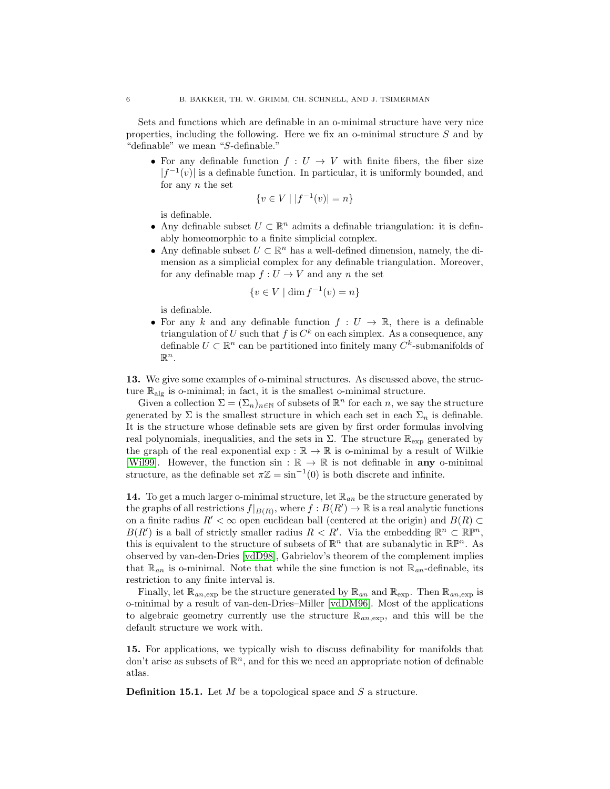Sets and functions which are definable in an o-minimal structure have very nice properties, including the following. Here we fix an o-minimal structure  $S$  and by "definable" we mean "S-definable."

• For any definable function  $f: U \to V$  with finite fibers, the fiber size  $|f^{-1}(v)|$  is a definable function. In particular, it is uniformly bounded, and for any  $n$  the set

$$
\{v \in V \mid |f^{-1}(v)| = n\}
$$

is definable.

- Any definable subset  $U \subset \mathbb{R}^n$  admits a definable triangulation: it is definably homeomorphic to a finite simplicial complex.
- Any definable subset  $U \subset \mathbb{R}^n$  has a well-defined dimension, namely, the dimension as a simplicial complex for any definable triangulation. Moreover, for any definable map  $f: U \to V$  and any n the set

$$
\{v \in V \mid \dim f^{-1}(v) = n\}
$$

is definable.

• For any k and any definable function  $f: U \to \mathbb{R}$ , there is a definable triangulation of U such that f is  $C^k$  on each simplex. As a consequence, any definable  $U \subset \mathbb{R}^n$  can be partitioned into finitely many  $C^k$ -submanifolds of  $\mathbb{R}^n$ .

13. We give some examples of o-miminal structures. As discussed above, the structure  $\mathbb{R}_{\text{alg}}$  is o-minimal; in fact, it is the smallest o-minimal structure.

Given a collection  $\Sigma = (\Sigma_n)_{n \in \mathbb{N}}$  of subsets of  $\mathbb{R}^n$  for each n, we say the structure generated by  $\Sigma$  is the smallest structure in which each set in each  $\Sigma_n$  is definable. It is the structure whose definable sets are given by first order formulas involving real polynomials, inequalities, and the sets in  $\Sigma$ . The structure  $\mathbb{R}_{\exp}$  generated by the graph of the real exponential exp :  $\mathbb{R} \to \mathbb{R}$  is o-minimal by a result of Wilkie [\[Wil99\]](#page-26-0). However, the function  $\sin : \mathbb{R} \to \mathbb{R}$  is not definable in any o-minimal structure, as the definable set  $\pi \mathbb{Z} = \sin^{-1}(0)$  is both discrete and infinite.

**14.** To get a much larger o-minimal structure, let  $\mathbb{R}_{an}$  be the structure generated by the graphs of all restrictions  $f|_{B(R)}$ , where  $f : B(R') \to \mathbb{R}$  is a real analytic functions on a finite radius  $R' < \infty$  open euclidean ball (centered at the origin) and  $B(R) \subset$  $B(R')$  is a ball of strictly smaller radius  $R \lt R'$ . Via the embedding  $\mathbb{R}^n \subset \mathbb{R}^{pn}$ , this is equivalent to the structure of subsets of  $\mathbb{R}^n$  that are subanalytic in  $\mathbb{R}\mathbb{P}^n$ . As observed by van-den-Dries [\[vdD98\]](#page-25-5), Gabrielov's theorem of the complement implies that  $\mathbb{R}_{an}$  is o-minimal. Note that while the sine function is not  $\mathbb{R}_{an}$ -definable, its restriction to any finite interval is.

Finally, let  $\mathbb{R}_{an,exp}$  be the structure generated by  $\mathbb{R}_{an}$  and  $\mathbb{R}_{exp}$ . Then  $\mathbb{R}_{an,exp}$  is o-minimal by a result of van-den-Dries–Miller [\[vdDM96\]](#page-25-6). Most of the applications to algebraic geometry currently use the structure  $\mathbb{R}_{qn, \text{exp}}$ , and this will be the default structure we work with.

15. For applications, we typically wish to discuss definability for manifolds that don't arise as subsets of  $\mathbb{R}^n$ , and for this we need an appropriate notion of definable atlas.

**Definition 15.1.** Let  $M$  be a topological space and  $S$  a structure.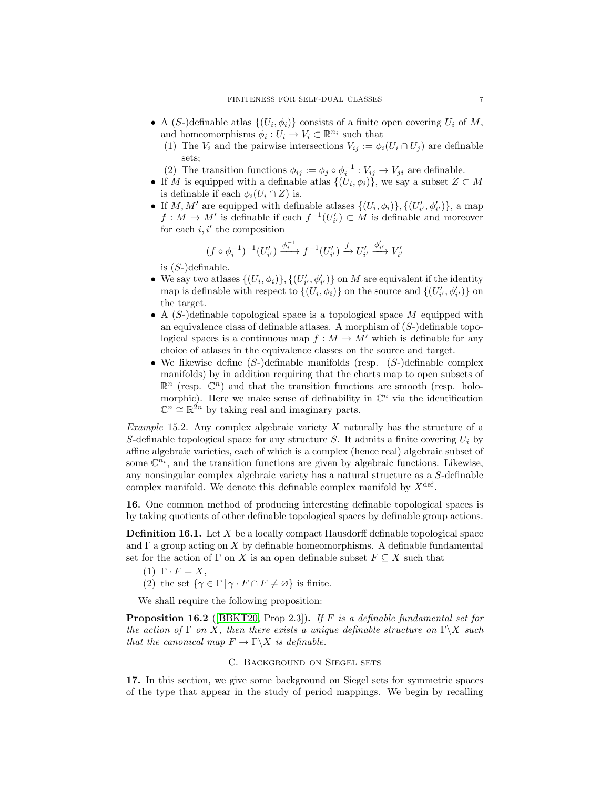- A (S-)definable atlas  $\{(U_i, \phi_i)\}\)$  consists of a finite open covering  $U_i$  of M, and homeomorphisms  $\phi_i: U_i \to V_i \subset \mathbb{R}^{n_i}$  such that
	- (1) The  $V_i$  and the pairwise intersections  $V_{ij} := \phi_i(U_i \cap U_j)$  are definable sets;
	- (2) The transition functions  $\phi_{ij} := \phi_j \circ \phi_i^{-1} : V_{ij} \to V_{ji}$  are definable.
- If M is equipped with a definable atlas  $\{(U_i, \phi_i)\}\)$ , we say a subset  $Z \subset M$ is definable if each  $\phi_i(U_i \cap Z)$  is.
- If  $M, M'$  are equipped with definable atlases  $\{(U_i, \phi_i)\}, \{(U'_{i'}, \phi'_{i'})\}$ , a map  $f: M \to M'$  is definable if each  $f^{-1}(U'_{i'}) \subset M$  is definable and moreover for each  $i, i'$  the composition

$$
(f\circ\phi_i^{-1})^{-1}(U'_{i'})\xrightarrow{\phi_i^{-1}} f^{-1}(U'_{i'})\xrightarrow{f} U'_{i'}\xrightarrow{\phi'_{i'}} V'_{i'}
$$

is  $(S-)$ definable.

- We say two atlases  $\{(U_i, \phi_i)\}, \{(U'_{i'}, \phi'_{i'})\}$  on M are equivalent if the identity map is definable with respect to  $\{(U_i, \phi_i)\}$  on the source and  $\{(U'_{i'}, \phi'_{i'})\}$  on the target.
- A  $(S)$ -)definable topological space is a topological space M equipped with an equivalence class of definable atlases. A morphism of  $(S-)$  definable topological spaces is a continuous map  $f : M \to M'$  which is definable for any choice of atlases in the equivalence classes on the source and target.
- We likewise define  $(S-)$ definable manifolds (resp.  $(S-)$ definable complex manifolds) by in addition requiring that the charts map to open subsets of  $\mathbb{R}^n$  (resp.  $\mathbb{C}^n$ ) and that the transition functions are smooth (resp. holomorphic). Here we make sense of definability in  $\mathbb{C}^n$  via the identification  $\mathbb{C}^n \cong \mathbb{R}^{2n}$  by taking real and imaginary parts.

Example 15.2. Any complex algebraic variety  $X$  naturally has the structure of a S-definable topological space for any structure S. It admits a finite covering  $U_i$  by affine algebraic varieties, each of which is a complex (hence real) algebraic subset of some  $\mathbb{C}^{n_i}$ , and the transition functions are given by algebraic functions. Likewise, any nonsingular complex algebraic variety has a natural structure as a S-definable complex manifold. We denote this definable complex manifold by  $X^{\text{def}}$ .

16. One common method of producing interesting definable topological spaces is by taking quotients of other definable topological spaces by definable group actions.

**Definition 16.1.** Let  $X$  be a locally compact Hausdorff definable topological space and  $\Gamma$  a group acting on X by definable homeomorphisms. A definable fundamental set for the action of  $\Gamma$  on X is an open definable subset  $F \subseteq X$  such that

- (1)  $\Gamma \cdot F = X$ ,
- (2) the set  $\{\gamma \in \Gamma \mid \gamma \cdot F \cap F \neq \varnothing\}$  is finite.

We shall require the following proposition:

Proposition 16.2 ([\[BBKT20,](#page-24-2) Prop 2.3]). If F is a definable fundamental set for the action of Γ on X, then there exists a unique definable structure on  $\Gamma \backslash X$  such that the canonical map  $F \to \Gamma \backslash X$  is definable.

# C. Background on Siegel sets

17. In this section, we give some background on Siegel sets for symmetric spaces of the type that appear in the study of period mappings. We begin by recalling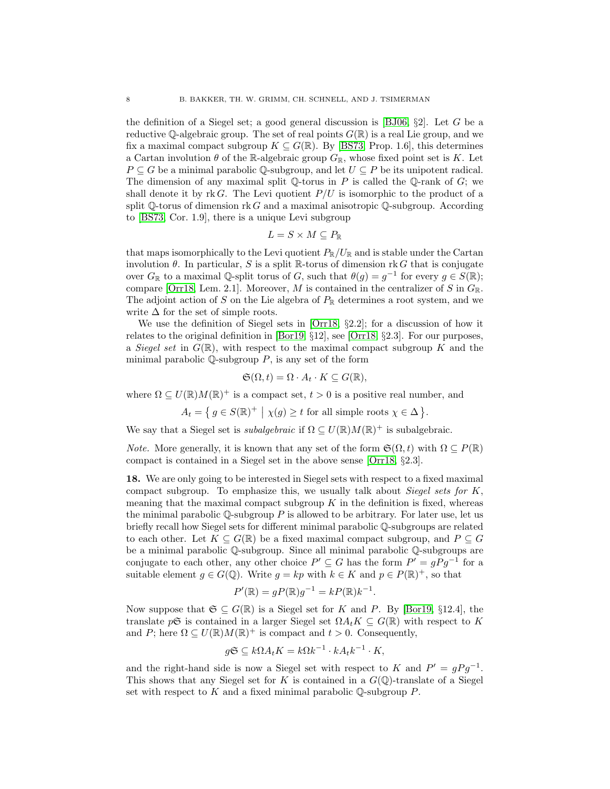the definition of a Siegel set; a good general discussion is [\[BJ06,](#page-24-3)  $\S2$ ]. Let G be a reductive Q-algebraic group. The set of real points  $G(\mathbb{R})$  is a real Lie group, and we fix a maximal compact subgroup  $K \subseteq G(\mathbb{R})$ . By [\[BS73,](#page-25-7) Prop. 1.6], this determines a Cartan involution  $\theta$  of the R-algebraic group  $G_{\mathbb{R}}$ , whose fixed point set is K. Let  $P \subseteq G$  be a minimal parabolic Q-subgroup, and let  $U \subseteq P$  be its unipotent radical. The dimension of any maximal split  $\mathbb Q$ -torus in P is called the  $\mathbb Q$ -rank of G; we shall denote it by rk G. The Levi quotient  $P/U$  is isomorphic to the product of a split  $\mathbb Q$ -torus of dimension rk G and a maximal anisotropic  $\mathbb Q$ -subgroup. According to [\[BS73,](#page-25-7) Cor. 1.9], there is a unique Levi subgroup

$$
L = S \times M \subseteq P_{\mathbb{R}}
$$

that maps isomorphically to the Levi quotient  $P_{\mathbb{R}}/U_{\mathbb{R}}$  and is stable under the Cartan involution  $\theta$ . In particular, S is a split R-torus of dimension rk G that is conjugate over  $G_{\mathbb{R}}$  to a maximal Q-split torus of G, such that  $\theta(g) = g^{-1}$  for every  $g \in S(\mathbb{R})$ ; compare [\[Orr18,](#page-25-8) Lem. 2.1]. Moreover, M is contained in the centralizer of S in  $G_{\mathbb{R}}$ . The adjoint action of S on the Lie algebra of  $P_{\mathbb{R}}$  determines a root system, and we write  $\Delta$  for the set of simple roots.

We use the definition of Siegel sets in [\[Orr18,](#page-25-8) §2.2]; for a discussion of how it relates to the original definition in  $[Bar19, §12]$ , see  $[Or18, §2.3]$ . For our purposes, a Siegel set in  $G(\mathbb{R})$ , with respect to the maximal compact subgroup K and the minimal parabolic  $\mathbb Q$ -subgroup  $P$ , is any set of the form

$$
\mathfrak{S}(\Omega, t) = \Omega \cdot A_t \cdot K \subseteq G(\mathbb{R}),
$$

where  $\Omega \subseteq U(\mathbb{R})M(\mathbb{R})^+$  is a compact set,  $t > 0$  is a positive real number, and

$$
A_t = \{ g \in S(\mathbb{R})^+ \mid \chi(g) \ge t \text{ for all simple roots } \chi \in \Delta \}.
$$

We say that a Siegel set is *subalgebraic* if  $\Omega \subseteq U(\mathbb{R})M(\mathbb{R})^+$  is subalgebraic.

*Note.* More generally, it is known that any set of the form  $\mathfrak{S}(\Omega, t)$  with  $\Omega \subseteq P(\mathbb{R})$ compact is contained in a Siegel set in the above sense [\[Orr18,](#page-25-8) §2.3].

18. We are only going to be interested in Siegel sets with respect to a fixed maximal compact subgroup. To emphasize this, we usually talk about Siegel sets for  $K$ , meaning that the maximal compact subgroup  $K$  in the definition is fixed, whereas the minimal parabolic  $\mathbb Q$ -subgroup P is allowed to be arbitrary. For later use, let us briefly recall how Siegel sets for different minimal parabolic Q-subgroups are related to each other. Let  $K \subseteq G(\mathbb{R})$  be a fixed maximal compact subgroup, and  $P \subseteq G$ be a minimal parabolic Q-subgroup. Since all minimal parabolic Q-subgroups are conjugate to each other, any other choice  $P' \subseteq G$  has the form  $P' = gPg^{-1}$  for a suitable element  $g \in G(\mathbb{Q})$ . Write  $g = kp$  with  $k \in K$  and  $p \in P(\mathbb{R})^+$ , so that

$$
P'(\mathbb{R}) = gP(\mathbb{R})g^{-1} = kP(\mathbb{R})k^{-1}.
$$

Now suppose that  $\mathfrak{S} \subset G(\mathbb{R})$  is a Siegel set for K and P. By [\[Bor19,](#page-24-4) §12.4], the translate  $p\mathfrak{S}$  is contained in a larger Siegel set  $\Omega A_t K \subseteq G(\mathbb{R})$  with respect to K and P; here  $\Omega \subseteq U(\mathbb{R})M(\mathbb{R})^+$  is compact and  $t > 0$ . Consequently,

$$
g\mathfrak{S} \subseteq k\Omega A_t K = k\Omega k^{-1} \cdot k A_t k^{-1} \cdot K,
$$

and the right-hand side is now a Siegel set with respect to K and  $P' = gPg^{-1}$ . This shows that any Siegel set for K is contained in a  $G(\mathbb{Q})$ -translate of a Siegel set with respect to  $K$  and a fixed minimal parabolic  $\mathbb{O}\text{-subgroup }P$ .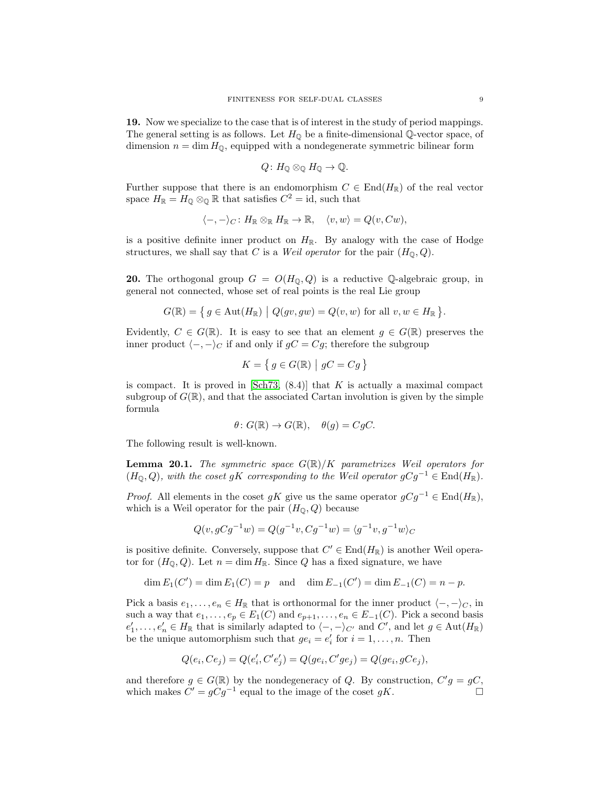<span id="page-8-0"></span>19. Now we specialize to the case that is of interest in the study of period mappings. The general setting is as follows. Let  $H_{\mathbb{Q}}$  be a finite-dimensional  $\mathbb{Q}$ -vector space, of dimension  $n = \dim H_{\mathbb{Q}}$ , equipped with a nondegenerate symmetric bilinear form

$$
Q\colon H_0\otimes_{\mathbb{O}} H_0\to\mathbb{Q}.
$$

Further suppose that there is an endomorphism  $C \in End(H_{\mathbb{R}})$  of the real vector space  $H_{\mathbb{R}} = H_0 \otimes_{\mathbb{Q}} \mathbb{R}$  that satisfies  $C^2 = id$ , such that

$$
\langle -, -\rangle_C \colon H_{\mathbb{R}} \otimes_{\mathbb{R}} H_{\mathbb{R}} \to \mathbb{R}, \quad \langle v, w \rangle = Q(v, C w),
$$

is a positive definite inner product on  $H_{\mathbb{R}}$ . By analogy with the case of Hodge structures, we shall say that C is a *Weil operator* for the pair  $(H_0, Q)$ .

**20.** The orthogonal group  $G = O(H_{\mathbb{Q}}, Q)$  is a reductive Q-algebraic group, in general not connected, whose set of real points is the real Lie group

$$
G(\mathbb{R}) = \left\{ g \in \mathrm{Aut}(H_\mathbb{R}) \mid Q(gv,gw) = Q(v,w) \text{ for all } v,w \in H_\mathbb{R} \right\}.
$$

Evidently,  $C \in G(\mathbb{R})$ . It is easy to see that an element  $g \in G(\mathbb{R})$  preserves the inner product  $\langle -, -\rangle_C$  if and only if  $gC = Cg$ ; therefore the subgroup

$$
K = \left\{ \, g \in G(\mathbb{R}) \, \left| \, \, gC = Cg \, \right. \right\}
$$

is compact. It is proved in  $[\text{Sch}73, (8.4)]$  that K is actually a maximal compact subgroup of  $G(\mathbb{R})$ , and that the associated Cartan involution is given by the simple formula

$$
\theta \colon G(\mathbb{R}) \to G(\mathbb{R}), \quad \theta(g) = CgC.
$$

The following result is well-known.

<span id="page-8-1"></span>**Lemma 20.1.** The symmetric space  $G(\mathbb{R})/K$  parametrizes Weil operators for  $(H_{\mathbb{Q}}, Q)$ , with the coset gK corresponding to the Weil operator  $gCg^{-1} \in \text{End}(H_{\mathbb{R}})$ .

*Proof.* All elements in the coset gK give us the same operator  $gCg^{-1} \in \text{End}(H_{\mathbb{R}})$ , which is a Weil operator for the pair  $(H_{\mathbb{Q}}, Q)$  because

$$
Q(v, gCg^{-1}w) = Q(g^{-1}v, Cg^{-1}w) = \langle g^{-1}v, g^{-1}w \rangle_C
$$

is positive definite. Conversely, suppose that  $C' \in End(H_{\mathbb{R}})$  is another Weil operator for  $(H_{\mathbb{Q}}, Q)$ . Let  $n = \dim H_{\mathbb{R}}$ . Since Q has a fixed signature, we have

$$
\dim E_1(C') = \dim E_1(C) = p
$$
 and  $\dim E_{-1}(C') = \dim E_{-1}(C) = n - p$ .

Pick a basis  $e_1, \ldots, e_n \in H_{\mathbb{R}}$  that is orthonormal for the inner product  $\langle -, -\rangle_C$ , in such a way that  $e_1, \ldots, e_p \in E_1(C)$  and  $e_{p+1}, \ldots, e_n \in E_{-1}(C)$ . Pick a second basis  $e'_1, \ldots, e'_n \in H_{\mathbb{R}}$  that is similarly adapted to  $\langle -, -\rangle_{C'}$  and  $C'$ , and let  $g \in \text{Aut}(H_{\mathbb{R}})$ be the unique automorphism such that  $ge_i = e'_i$  for  $i = 1, ..., n$ . Then

$$
Q(e_i, Ce_j) = Q(e'_i, C'e'_j) = Q(ge_i, C'ge_j) = Q(ge_i, gCe_j),
$$

and therefore  $g \in G(\mathbb{R})$  by the nondegeneracy of Q. By construction,  $C'g = gC$ , which makes  $C' = gCg^{-1}$  equal to the image of the coset gK.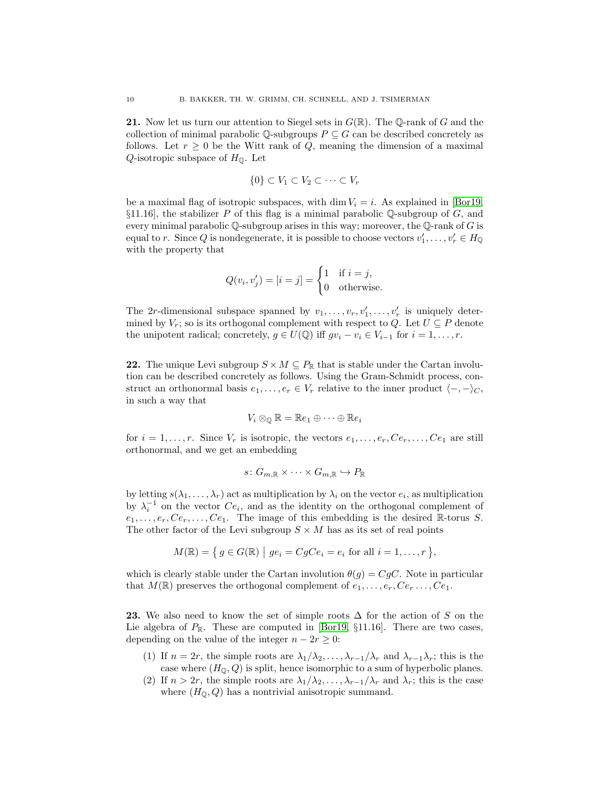**21.** Now let us turn our attention to Siegel sets in  $G(\mathbb{R})$ . The Q-rank of G and the collection of minimal parabolic Q-subgroups  $P \subseteq G$  can be described concretely as follows. Let  $r \geq 0$  be the Witt rank of Q, meaning the dimension of a maximal  $Q$ -isotropic subspace of  $H_{\mathbb{Q}}$ . Let

$$
\{0\} \subset V_1 \subset V_2 \subset \cdots \subset V_r
$$

be a maximal flag of isotropic subspaces, with dim  $V_i = i$ . As explained in [\[Bor19,](#page-24-4)  $\S11.16$ , the stabilizer P of this flag is a minimal parabolic Q-subgroup of G, and every minimal parabolic  $\mathbb Q$ -subgroup arises in this way; moreover, the  $\mathbb Q$ -rank of G is equal to r. Since Q is nondegenerate, it is possible to choose vectors  $v'_1, \ldots, v'_r \in H_{\mathbb{Q}}$ with the property that

$$
Q(v_i, v'_j) = [i = j] = \begin{cases} 1 & \text{if } i = j, \\ 0 & \text{otherwise.} \end{cases}
$$

The 2r-dimensional subspace spanned by  $v_1, \ldots, v_r, v'_1, \ldots, v'_r$  is uniquely determined by  $V_r$ ; so is its orthogonal complement with respect to Q. Let  $U \subseteq P$  denote the unipotent radical; concretely,  $g \in U(\mathbb{Q})$  iff  $gv_i - v_i \in V_{i-1}$  for  $i = 1, \ldots, r$ .

**22.** The unique Levi subgroup  $S \times M \subseteq P_{\mathbb{R}}$  that is stable under the Cartan involution can be described concretely as follows. Using the Gram-Schmidt process, construct an orthonormal basis  $e_1, \ldots, e_r \in V_r$  relative to the inner product  $\langle -, -\rangle_C$ , in such a way that

$$
V_i \otimes_{\mathbb{Q}} \mathbb{R} = \mathbb{R}e_1 \oplus \cdots \oplus \mathbb{R}e_i
$$

for  $i = 1, \ldots, r$ . Since  $V_r$  is isotropic, the vectors  $e_1, \ldots, e_r, Ce_r, \ldots, Ce_1$  are still orthonormal, and we get an embedding

$$
s\colon G_{m,\mathbb{R}}\times\cdots\times G_{m,\mathbb{R}}\hookrightarrow P_{\mathbb{R}}
$$

by letting  $s(\lambda_1,\ldots,\lambda_r)$  act as multiplication by  $\lambda_i$  on the vector  $e_i$ , as multiplication by  $\lambda_i^{-1}$  on the vector  $Ce_i$ , and as the identity on the orthogonal complement of  $e_1, \ldots, e_r, Ce_r, \ldots, Ce_1$ . The image of this embedding is the desired R-torus S. The other factor of the Levi subgroup  $S \times M$  has as its set of real points

$$
M(\mathbb{R}) = \{ g \in G(\mathbb{R}) \mid ge_i = CgCe_i = e_i \text{ for all } i = 1, \dots, r \},
$$

which is clearly stable under the Cartan involution  $\theta(g) = CgC$ . Note in particular that  $M(\mathbb{R})$  preserves the orthogonal complement of  $e_1, \ldots, e_r, Ce_r, \ldots, Ce_1$ .

23. We also need to know the set of simple roots  $\Delta$  for the action of S on the Lie algebra of  $P_{\mathbb{R}}$ . These are computed in [\[Bor19,](#page-24-4) §11.16]. There are two cases, depending on the value of the integer  $n - 2r \geq 0$ :

- (1) If  $n = 2r$ , the simple roots are  $\lambda_1/\lambda_2, \ldots, \lambda_{r-1}/\lambda_r$  and  $\lambda_{r-1}\lambda_r$ ; this is the case where  $(H_{\mathbb{Q}}, Q)$  is split, hence isomorphic to a sum of hyperbolic planes.
- (2) If  $n > 2r$ , the simple roots are  $\lambda_1/\lambda_2, \ldots, \lambda_{r-1}/\lambda_r$  and  $\lambda_r$ ; this is the case where  $(H_0, Q)$  has a nontrivial anisotropic summand.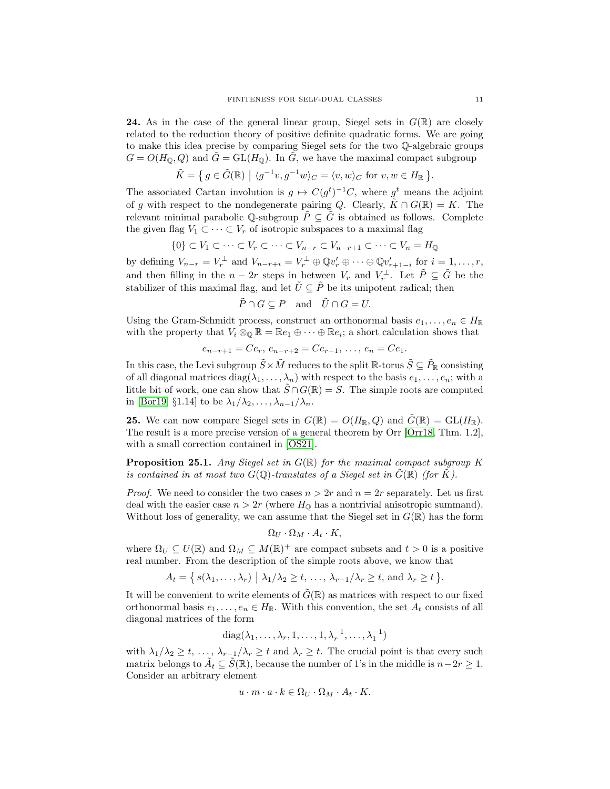**24.** As in the case of the general linear group, Siegel sets in  $G(\mathbb{R})$  are closely related to the reduction theory of positive definite quadratic forms. We are going to make this idea precise by comparing Siegel sets for the two Q-algebraic groups  $G = O(H_0, Q)$  and  $\tilde{G} = GL(H_0)$ . In  $\tilde{G}$ , we have the maximal compact subgroup

$$
\tilde{K} = \{ g \in \tilde{G}(\mathbb{R}) \mid \langle g^{-1}v, g^{-1}w \rangle_C = \langle v, w \rangle_C \text{ for } v, w \in H_{\mathbb{R}} \}.
$$

The associated Cartan involution is  $g \mapsto C(g^t)^{-1}C$ , where  $g^t$  means the adjoint of q with respect to the nondegenerate pairing Q. Clearly,  $\tilde{K} \cap G(\mathbb{R}) = K$ . The relevant minimal parabolic Q-subgroup  $\tilde{P} \subseteq \tilde{G}$  is obtained as follows. Complete the given flag  $V_1 \subset \cdots \subset V_r$  of isotropic subspaces to a maximal flag

$$
\{0\} \subset V_1 \subset \cdots \subset V_r \subset \cdots \subset V_{n-r} \subset V_{n-r+1} \subset \cdots \subset V_n = H_{\mathbb{Q}}
$$

by defining  $V_{n-r} = V_r^{\perp}$  and  $V_{n-r+i} = V_r^{\perp} \oplus \mathbb{Q}v'_r \oplus \cdots \oplus \mathbb{Q}v'_{r+1-i}$  for  $i = 1, \ldots, r$ , and then filling in the  $n-2r$  steps in between  $V_r$  and  $V_r^{\perp}$ . Let  $\tilde{P} \subseteq \tilde{G}$  be the stabilizer of this maximal flag, and let  $\tilde{U} \subseteq \tilde{P}$  be its unipotent radical; then

$$
\tilde{P} \cap G \subseteq P \quad \text{and} \quad \tilde{U} \cap G = U.
$$

Using the Gram-Schmidt process, construct an orthonormal basis  $e_1, \ldots, e_n \in H_{\mathbb{R}}$ with the property that  $V_i \otimes_{\mathbb{Q}} \mathbb{R} = \mathbb{R}e_1 \oplus \cdots \oplus \mathbb{R}e_i$ ; a short calculation shows that

$$
e_{n-r+1} = Ce_r, e_{n-r+2} = Ce_{r-1}, \ldots, e_n = Ce_1.
$$

In this case, the Levi subgroup  $\tilde{S} \times \tilde{M}$  reduces to the split  $\mathbb{R}$ -torus  $\tilde{S} \subseteq \tilde{P}_{\mathbb{R}}$  consisting of all diagonal matrices  $diag(\lambda_1, \ldots, \lambda_n)$  with respect to the basis  $e_1, \ldots, e_n$ ; with a little bit of work, one can show that  $\tilde{S} \cap G(\mathbb{R}) = S$ . The simple roots are computed in [\[Bor19,](#page-24-4) §1.14] to be  $\lambda_1/\lambda_2,\ldots,\lambda_{n-1}/\lambda_n$ .

**25.** We can now compare Siegel sets in  $G(\mathbb{R}) = O(H_{\mathbb{R}}, Q)$  and  $G(\mathbb{R}) = GL(H_{\mathbb{R}})$ . The result is a more precise version of a general theorem by Orr [\[Orr18,](#page-25-8) Thm. 1.2], with a small correction contained in [\[OS21\]](#page-25-10).

<span id="page-10-0"></span>**Proposition 25.1.** Any Siegel set in  $G(\mathbb{R})$  for the maximal compact subgroup K is contained in at most two  $G(\mathbb{Q})$ -translates of a Siegel set in  $G(\mathbb{R})$  (for K).

*Proof.* We need to consider the two cases  $n > 2r$  and  $n = 2r$  separately. Let us first deal with the easier case  $n > 2r$  (where  $H_0$  has a nontrivial anisotropic summand). Without loss of generality, we can assume that the Siegel set in  $G(\mathbb{R})$  has the form

$$
\Omega_U \cdot \Omega_M \cdot A_t \cdot K,
$$

where  $\Omega_U \subseteq U(\mathbb{R})$  and  $\Omega_M \subseteq M(\mathbb{R})^+$  are compact subsets and  $t > 0$  is a positive real number. From the description of the simple roots above, we know that

$$
A_t = \{ s(\lambda_1, \ldots, \lambda_r) \mid \lambda_1/\lambda_2 \geq t, \ldots, \lambda_{r-1}/\lambda_r \geq t, \text{ and } \lambda_r \geq t \}.
$$

It will be convenient to write elements of  $\tilde{G}(\mathbb{R})$  as matrices with respect to our fixed orthonormal basis  $e_1, \ldots, e_n \in H_{\mathbb{R}}$ . With this convention, the set  $A_t$  consists of all diagonal matrices of the form

$$
diag(\lambda_1,\ldots,\lambda_r,1,\ldots,1,\lambda_r^{-1},\ldots,\lambda_1^{-1})
$$

with  $\lambda_1/\lambda_2 \geq t, \ldots, \lambda_{r-1}/\lambda_r \geq t$  and  $\lambda_r \geq t$ . The crucial point is that every such matrix belongs to  $\tilde{A}_t \subseteq \tilde{S}(\mathbb{R})$ , because the number of 1's in the middle is  $n-2r \geq 1$ . Consider an arbitrary element

$$
u \cdot m \cdot a \cdot k \in \Omega_U \cdot \Omega_M \cdot A_t \cdot K.
$$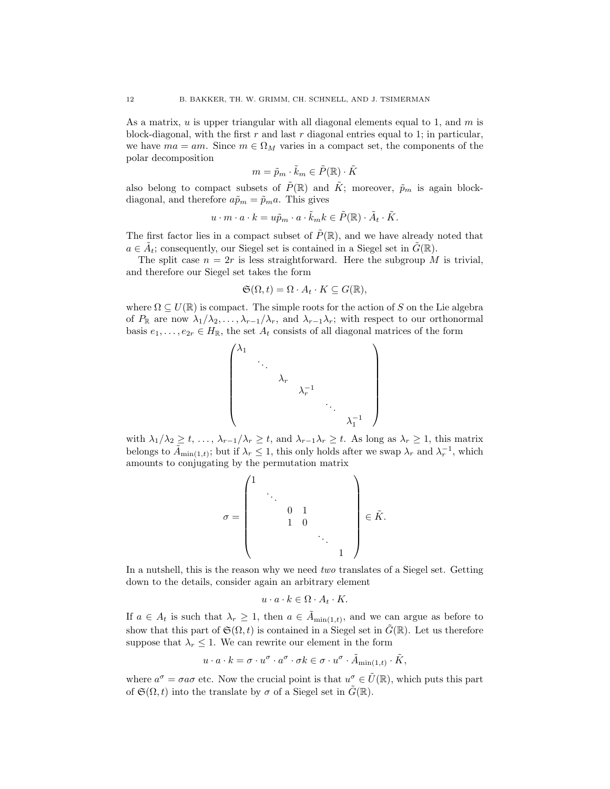As a matrix,  $u$  is upper triangular with all diagonal elements equal to 1, and  $m$  is block-diagonal, with the first  $r$  and last  $r$  diagonal entries equal to 1; in particular, we have  $ma = am$ . Since  $m \in \Omega_M$  varies in a compact set, the components of the polar decomposition

$$
m = \tilde{p}_m \cdot \tilde{k}_m \in \tilde{P}(\mathbb{R}) \cdot \tilde{K}
$$

also belong to compact subsets of  $\tilde{P}(\mathbb{R})$  and  $\tilde{K}$ ; moreover,  $\tilde{p}_m$  is again blockdiagonal, and therefore  $a\tilde{p}_m = \tilde{p}_m a$ . This gives

$$
u\cdot m\cdot a\cdot k=u\tilde{p}_m\cdot a\cdot \tilde{k}_m k\in \tilde{P}(\mathbb{R})\cdot \tilde{A}_t\cdot \tilde{K}.
$$

The first factor lies in a compact subset of  $\tilde{P}(\mathbb{R})$ , and we have already noted that  $a \in \tilde{A}_t$ ; consequently, our Siegel set is contained in a Siegel set in  $\tilde{G}(\mathbb{R})$ .

The split case  $n = 2r$  is less straightforward. Here the subgroup M is trivial, and therefore our Siegel set takes the form

$$
\mathfrak{S}(\Omega, t) = \Omega \cdot A_t \cdot K \subseteq G(\mathbb{R}),
$$

where  $\Omega \subseteq U(\mathbb{R})$  is compact. The simple roots for the action of S on the Lie algebra of  $P_{\mathbb{R}}$  are now  $\lambda_1/\lambda_2,\ldots,\lambda_{r-1}/\lambda_r$ , and  $\lambda_{r-1}\lambda_r$ ; with respect to our orthonormal basis  $e_1, \ldots, e_{2r} \in H_{\mathbb{R}}$ , the set  $A_t$  consists of all diagonal matrices of the form



with  $\lambda_1/\lambda_2 \geq t, \ldots, \lambda_{r-1}/\lambda_r \geq t$ , and  $\lambda_{r-1}\lambda_r \geq t$ . As long as  $\lambda_r \geq 1$ , this matrix belongs to  $\tilde{A}_{\min(1,t)}$ ; but if  $\lambda_r \leq 1$ , this only holds after we swap  $\lambda_r$  and  $\lambda_r^{-1}$ , which amounts to conjugating by the permutation matrix

$$
\sigma = \begin{pmatrix} 1 & & & & & \\ & \ddots & & & & \\ & & 0 & 1 & & \\ & & 1 & 0 & & \\ & & & & \ddots & \\ & & & & & 1 \end{pmatrix} \in \tilde{K}.
$$

In a nutshell, this is the reason why we need two translates of a Siegel set. Getting down to the details, consider again an arbitrary element

$$
u \cdot a \cdot k \in \Omega \cdot A_t \cdot K.
$$

If  $a \in A_t$  is such that  $\lambda_r \geq 1$ , then  $a \in \tilde{A}_{\min(1,t)}$ , and we can argue as before to show that this part of  $\mathfrak{S}(\Omega, t)$  is contained in a Siegel set in  $\tilde{G}(\mathbb{R})$ . Let us therefore suppose that  $\lambda_r \leq 1$ . We can rewrite our element in the form

$$
u \cdot a \cdot k = \sigma \cdot u^{\sigma} \cdot a^{\sigma} \cdot \sigma k \in \sigma \cdot u^{\sigma} \cdot \tilde{A}_{\min(1,t)} \cdot \tilde{K},
$$

where  $a^{\sigma} = \sigma a \sigma$  etc. Now the crucial point is that  $u^{\sigma} \in \tilde{U}(\mathbb{R})$ , which puts this part of  $\mathfrak{S}(\Omega, t)$  into the translate by  $\sigma$  of a Siegel set in  $\tilde{G}(\mathbb{R})$ .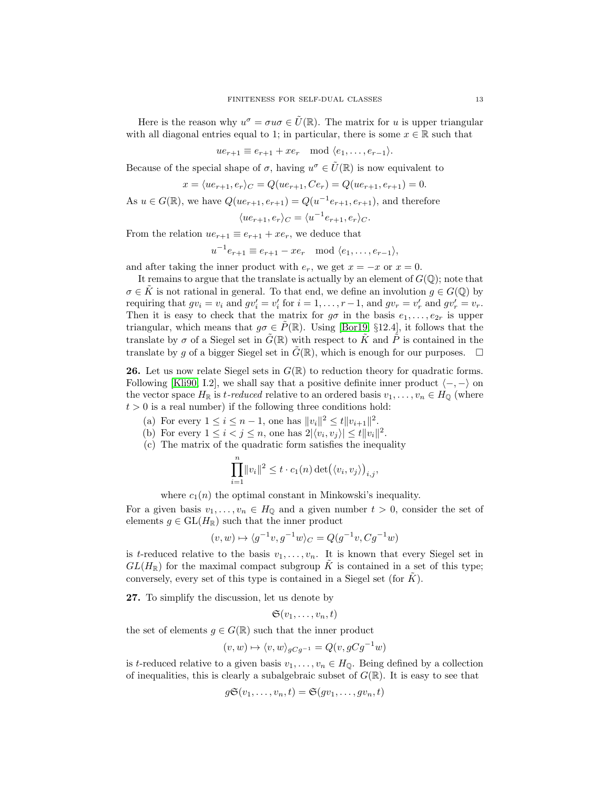Here is the reason why  $u^{\sigma} = \sigma u \sigma \in \tilde{U}(\mathbb{R})$ . The matrix for u is upper triangular with all diagonal entries equal to 1; in particular, there is some  $x \in \mathbb{R}$  such that

 $ue_{r+1} \equiv e_{r+1} + xe_r \mod \langle e_1, \ldots, e_{r-1} \rangle.$ 

Because of the special shape of  $\sigma$ , having  $u^{\sigma} \in \tilde{U}(\mathbb{R})$  is now equivalent to

$$
x = \langle ue_{r+1}, e_r \rangle_C = Q(ue_{r+1}, Ce_r) = Q(ue_{r+1}, e_{r+1}) = 0.
$$

As  $u \in G(\mathbb{R})$ , we have  $Q(ue_{r+1}, e_{r+1}) = Q(u^{-1}e_{r+1}, e_{r+1})$ , and therefore

$$
\langle ue_{r+1}, e_r \rangle_C = \langle u^{-1}e_{r+1}, e_r \rangle_C.
$$

From the relation  $ue_{r+1} \equiv e_{r+1} + xe_r$ , we deduce that

$$
u^{-1}e_{r+1} \equiv e_{r+1} - xe_r \mod \langle e_1, \dots, e_{r-1} \rangle,
$$

and after taking the inner product with  $e_r$ , we get  $x = -x$  or  $x = 0$ .

It remains to argue that the translate is actually by an element of  $G(\mathbb{Q})$ ; note that  $\sigma \in \tilde{K}$  is not rational in general. To that end, we define an involution  $g \in G(\mathbb{Q})$  by requiring that  $gv_i = v_i$  and  $gv'_i = v'_i$  for  $i = 1, ..., r - 1$ , and  $gv_r = v'_r$  and  $gv'_r = v_r$ . Then it is easy to check that the matrix for  $g\sigma$  in the basis  $e_1, \ldots, e_{2r}$  is upper triangular, which means that  $g\sigma \in \hat{P}(\mathbb{R})$ . Using [\[Bor19,](#page-24-4) §12.4], it follows that the translate by  $\sigma$  of a Siegel set in  $\tilde{G}(\mathbb{R})$  with respect to  $\tilde{K}$  and  $\tilde{P}$  is contained in the translate by q of a bigger Siegel set in  $\tilde{G}(\mathbb{R})$ , which is enough for our purposes.  $\Box$ 

**26.** Let us now relate Siegel sets in  $G(\mathbb{R})$  to reduction theory for quadratic forms. Following [\[Kli90,](#page-25-11) I.2], we shall say that a positive definite inner product  $\langle -, - \rangle$  on the vector space  $H_{\mathbb{R}}$  is t-reduced relative to an ordered basis  $v_1, \ldots, v_n \in H_{\mathbb{Q}}$  (where  $t > 0$  is a real number) if the following three conditions hold:

- (a) For every  $1 \leq i \leq n-1$ , one has  $||v_i||^2 \leq t||v_{i+1}||^2$ .
- (b) For every  $1 \leq i < j \leq n$ , one has  $2|\langle v_i, v_j \rangle| \leq t ||v_i||^2$ .
- (c) The matrix of the quadratic form satisfies the inequality

$$
\prod_{i=1}^n \|v_i\|^2 \le t \cdot c_1(n) \det(\langle v_i, v_j \rangle)_{i,j},
$$

where  $c_1(n)$  the optimal constant in Minkowski's inequality.

For a given basis  $v_1, \ldots, v_n \in H_{\mathbb{Q}}$  and a given number  $t > 0$ , consider the set of elements  $g \in GL(H_{\mathbb{R}})$  such that the inner product

$$
(v, w) \mapsto \langle g^{-1}v, g^{-1}w \rangle_C = Q(g^{-1}v, Cg^{-1}w)
$$

is t-reduced relative to the basis  $v_1, \ldots, v_n$ . It is known that every Siegel set in  $GL(H_{\mathbb{R}})$  for the maximal compact subgroup K is contained in a set of this type; conversely, every set of this type is contained in a Siegel set (for  $K$ ).

27. To simplify the discussion, let us denote by

$$
\mathfrak{S}(v_1,\ldots,v_n,t)
$$

the set of elements  $g \in G(\mathbb{R})$  such that the inner product

$$
(v, w) \mapsto \langle v, w \rangle_{gCg^{-1}} = Q(v, gCg^{-1}w)
$$

is t-reduced relative to a given basis  $v_1, \ldots, v_n \in H_0$ . Being defined by a collection of inequalities, this is clearly a subalgebraic subset of  $G(\mathbb{R})$ . It is easy to see that

$$
g\mathfrak{S}(v_1,\ldots,v_n,t)=\mathfrak{S}(gv_1,\ldots,gv_n,t)
$$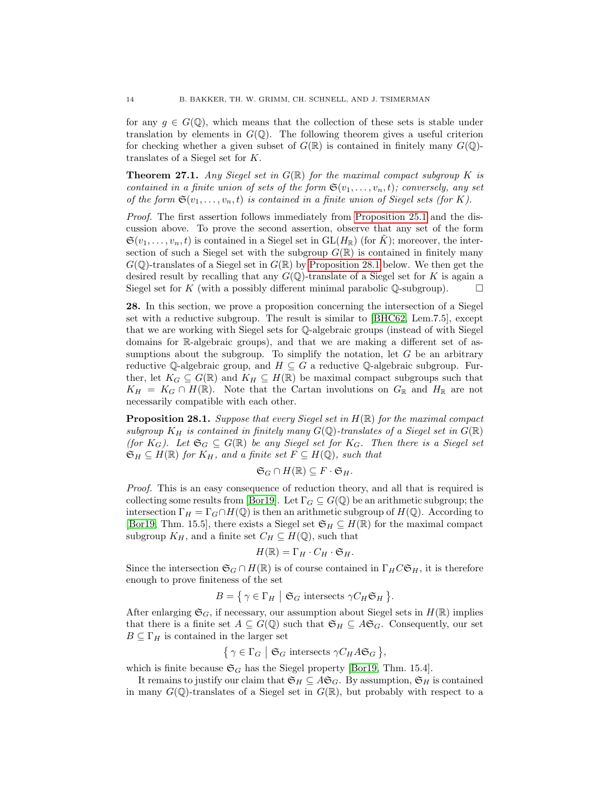for any  $q \in G(\mathbb{Q})$ , which means that the collection of these sets is stable under translation by elements in  $G(\mathbb{Q})$ . The following theorem gives a useful criterion for checking whether a given subset of  $G(\mathbb{R})$  is contained in finitely many  $G(\mathbb{Q})$ translates of a Siegel set for K.

<span id="page-13-1"></span>**Theorem 27.1.** Any Siegel set in  $G(\mathbb{R})$  for the maximal compact subgroup K is contained in a finite union of sets of the form  $\mathfrak{S}(v_1, \ldots, v_n, t)$ ; conversely, any set of the form  $\mathfrak{S}(v_1,\ldots,v_n,t)$  is contained in a finite union of Siegel sets (for K).

Proof. The first assertion follows immediately from [Proposition 25.1](#page-10-0) and the discussion above. To prove the second assertion, observe that any set of the form  $\mathfrak{S}(v_1,\ldots,v_n,t)$  is contained in a Siegel set in  $\mathrm{GL}(H_\mathbb{R})$  (for  $\tilde{K}$ ); moreover, the intersection of such a Siegel set with the subgroup  $G(\mathbb{R})$  is contained in finitely many  $G(\mathbb{Q})$ -translates of a Siegel set in  $G(\mathbb{R})$  by [Proposition 28.1](#page-13-0) below. We then get the desired result by recalling that any  $G(\mathbb{Q})$ -translate of a Siegel set for K is again a Siegel set for K (with a possibly different minimal parabolic  $\mathbb Q$ -subgroup).

28. In this section, we prove a proposition concerning the intersection of a Siegel set with a reductive subgroup. The result is similar to [\[BHC62,](#page-24-5) Lem.7.5], except that we are working with Siegel sets for Q-algebraic groups (instead of with Siegel domains for R-algebraic groups), and that we are making a different set of assumptions about the subgroup. To simplify the notation, let  $G$  be an arbitrary reductive Q-algebraic group, and  $H \subseteq G$  a reductive Q-algebraic subgroup. Further, let  $K_G \subseteq G(\mathbb{R})$  and  $K_H \subseteq H(\mathbb{R})$  be maximal compact subgroups such that  $K_H = K_G \cap H(\mathbb{R})$ . Note that the Cartan involutions on  $G_{\mathbb{R}}$  and  $H_{\mathbb{R}}$  are not necessarily compatible with each other.

<span id="page-13-0"></span>**Proposition 28.1.** Suppose that every Siegel set in  $H(\mathbb{R})$  for the maximal compact subgroup  $K_H$  is contained in finitely many  $G(\mathbb{Q})$ -translates of a Siegel set in  $G(\mathbb{R})$ (for  $K_G$ ). Let  $\mathfrak{S}_G \subseteq G(\mathbb{R})$  be any Siegel set for  $K_G$ . Then there is a Siegel set  $\mathfrak{S}_H \subseteq H(\mathbb{R})$  for  $K_H$ , and a finite set  $F \subseteq H(\mathbb{Q})$ , such that

$$
\mathfrak{S}_G \cap H(\mathbb{R}) \subseteq F \cdot \mathfrak{S}_H.
$$

Proof. This is an easy consequence of reduction theory, and all that is required is collecting some results from [\[Bor19\]](#page-24-4). Let  $\Gamma_G \subseteq G(\mathbb{Q})$  be an arithmetic subgroup; the intersection  $\Gamma_H = \Gamma_G \cap H(\mathbb{Q})$  is then an arithmetic subgroup of  $H(\mathbb{Q})$ . According to [\[Bor19,](#page-24-4) Thm. 15.5], there exists a Siegel set  $\mathfrak{S}_H \subseteq H(\mathbb{R})$  for the maximal compact subgroup  $K_H$ , and a finite set  $C_H \subseteq H(\mathbb{Q})$ , such that

$$
H(\mathbb{R}) = \Gamma_H \cdot C_H \cdot \mathfrak{S}_H.
$$

Since the intersection  $\mathfrak{S}_G \cap H(\mathbb{R})$  is of course contained in  $\Gamma_H C \mathfrak{S}_H$ , it is therefore enough to prove finiteness of the set

$$
B = \{ \gamma \in \Gamma_H \mid \mathfrak{S}_G \text{ intersects } \gamma C_H \mathfrak{S}_H \}.
$$

After enlarging  $\mathfrak{S}_G$ , if necessary, our assumption about Siegel sets in  $H(\mathbb{R})$  implies that there is a finite set  $A \subseteq G(\mathbb{Q})$  such that  $\mathfrak{S}_H \subseteq A\mathfrak{S}_G$ . Consequently, our set  $B \subseteq \Gamma_H$  is contained in the larger set

$$
\{ \gamma \in \Gamma_G \mid \mathfrak{S}_G \text{ intersects } \gamma C_H A \mathfrak{S}_G \},
$$

which is finite because  $\mathfrak{S}_G$  has the Siegel property [\[Bor19,](#page-24-4) Thm. 15.4].

It remains to justify our claim that  $\mathfrak{S}_H \subseteq A \mathfrak{S}_G$ . By assumption,  $\mathfrak{S}_H$  is contained in many  $G(\mathbb{Q})$ -translates of a Siegel set in  $G(\mathbb{R})$ , but probably with respect to a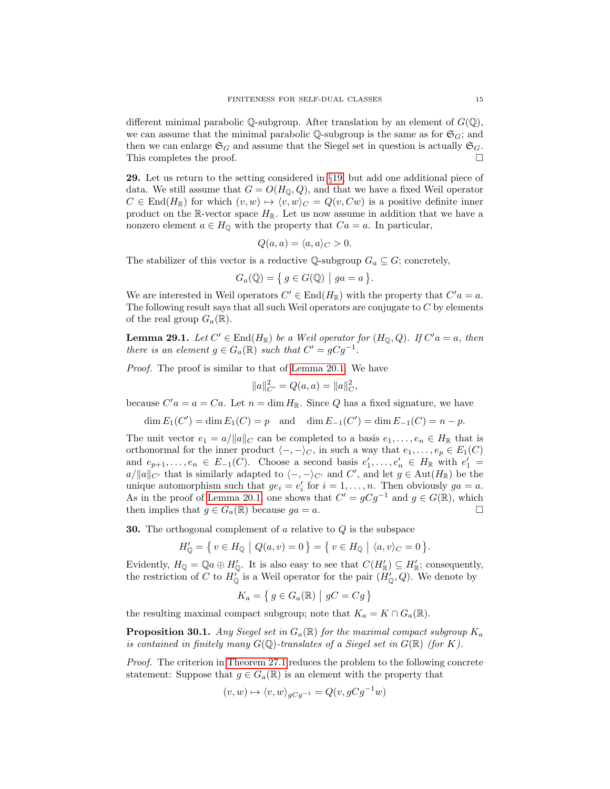different minimal parabolic  $\mathbb Q$ -subgroup. After translation by an element of  $G(\mathbb Q)$ , we can assume that the minimal parabolic  $\mathbb Q$ -subgroup is the same as for  $\mathfrak{S}_G$ ; and then we can enlarge  $\mathfrak{S}_G$  and assume that the Siegel set in question is actually  $\mathfrak{S}_G$ . This completes the proof.

29. Let us return to the setting considered in §[19,](#page-8-0) but add one additional piece of data. We still assume that  $G = O(H_0, Q)$ , and that we have a fixed Weil operator  $C \in \text{End}(H_{\mathbb{R}})$  for which  $(v, w) \mapsto \langle v, w \rangle_C = Q(v, Cw)$  is a positive definite inner product on the R-vector space  $H_{\mathbb{R}}$ . Let us now assume in addition that we have a nonzero element  $a \in H_{\mathbb{Q}}$  with the property that  $Ca = a$ . In particular,

$$
Q(a, a) = \langle a, a \rangle_C > 0.
$$

The stabilizer of this vector is a reductive  $\mathbb{Q}\text{-subgroup } G_a \subseteq G$ ; concretely,

$$
G_a(\mathbb{Q}) = \{ g \in G(\mathbb{Q}) \mid ga = a \}.
$$

We are interested in Weil operators  $C' \in End(H_{\mathbb{R}})$  with the property that  $C' a = a$ . The following result says that all such Weil operators are conjugate to  $C$  by elements of the real group  $G_a(\mathbb{R})$ .

<span id="page-14-0"></span>**Lemma 29.1.** Let  $C' \in End(H_{\mathbb{R}})$  be a Weil operator for  $(H_0, Q)$ . If  $C'a = a$ , then there is an element  $g \in G_a(\mathbb{R})$  such that  $C' = gCg^{-1}$ .

Proof. The proof is similar to that of [Lemma 20.1.](#page-8-1) We have

$$
||a||_{C'}^2 = Q(a,a) = ||a||_C^2,
$$

because  $C'a = a = Ca$ . Let  $n = \dim H_{\mathbb{R}}$ . Since Q has a fixed signature, we have

 $\dim E_1(C') = \dim E_1(C) = p$  and  $\dim E_{-1}(C') = \dim E_{-1}(C) = n - p$ .

The unit vector  $e_1 = a/||a||_C$  can be completed to a basis  $e_1, \ldots, e_n \in H_{\mathbb{R}}$  that is orthonormal for the inner product  $\langle -, -\rangle_C$ , in such a way that  $e_1, \ldots, e_p \in E_1(C)$ and  $e_{p+1}, \ldots, e_n \in E_{-1}(C)$ . Choose a second basis  $e'_1, \ldots, e'_n \in H_{\mathbb{R}}$  with  $e'_1 =$  $a/\|a\|_{C'}$  that is similarly adapted to  $\langle -, -\rangle_{C'}$  and  $C'$ , and let  $g \in \text{Aut}(H_{\mathbb{R}})$  be the unique automorphism such that  $ge_i = e'_i$  for  $i = 1, ..., n$ . Then obviously  $ga = a$ . As in the proof of [Lemma 20.1,](#page-8-1) one shows that  $C' = gCg^{-1}$  and  $g \in G(\mathbb{R})$ , which then implies that  $g \in G_a(\mathbb{R})$  because  $ga = a$ .

30. The orthogonal complement of a relative to Q is the subspace

$$
H'_{\mathbb{Q}} = \{ v \in H_{\mathbb{Q}} \mid Q(a, v) = 0 \} = \{ v \in H_{\mathbb{Q}} \mid \langle a, v \rangle_C = 0 \}.
$$

Evidently,  $H_{\mathbb{Q}} = \mathbb{Q}a \oplus H'_{\mathbb{Q}}$ . It is also easy to see that  $C(H'_{\mathbb{R}}) \subseteq H'_{\mathbb{R}}$ ; consequently, the restriction of C to  $H_0^{\dagger}$  is a Weil operator for the pair  $(H_0^{\dagger}, Q)$ . We denote by

$$
K_a = \{ g \in G_a(\mathbb{R}) \mid gC = Cg \}
$$

the resulting maximal compact subgroup; note that  $K_a = K \cap G_a(\mathbb{R})$ .

<span id="page-14-1"></span>**Proposition 30.1.** Any Siegel set in  $G_a(\mathbb{R})$  for the maximal compact subgroup  $K_a$ is contained in finitely many  $G(\mathbb{Q})$ -translates of a Siegel set in  $G(\mathbb{R})$  (for K).

Proof. The criterion in [Theorem 27.1](#page-13-1) reduces the problem to the following concrete statement: Suppose that  $g \in G_a(\mathbb{R})$  is an element with the property that

$$
(v, w) \mapsto \langle v, w \rangle_{gCg^{-1}} = Q(v, gCg^{-1}w)
$$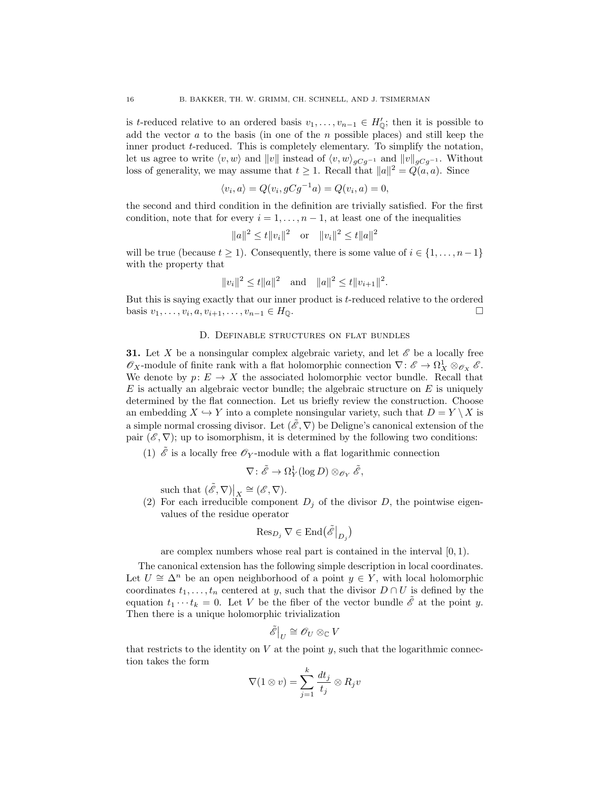is t-reduced relative to an ordered basis  $v_1, \ldots, v_{n-1} \in H'_0$ ; then it is possible to add the vector  $a$  to the basis (in one of the  $n$  possible places) and still keep the inner product t-reduced. This is completely elementary. To simplify the notation, let us agree to write  $\langle v, w \rangle$  and  $||v||$  instead of  $\langle v, w \rangle_{gCg^{-1}}$  and  $||v||_{gCg^{-1}}$ . Without loss of generality, we may assume that  $t \geq 1$ . Recall that  $||a||^2 = Q(a, a)$ . Since

$$
\langle v_i, a \rangle = Q(v_i, gCg^{-1}a) = Q(v_i, a) = 0,
$$

the second and third condition in the definition are trivially satisfied. For the first condition, note that for every  $i = 1, \ldots, n-1$ , at least one of the inequalities

$$
||a||^2 \le t||v_i||^2 \quad \text{or} \quad ||v_i||^2 \le t||a||^2
$$

will be true (because  $t \geq 1$ ). Consequently, there is some value of  $i \in \{1, \ldots, n-1\}$ with the property that

$$
||v_i||^2 \le t ||a||^2
$$
 and  $||a||^2 \le t ||v_{i+1}||^2$ .

But this is saying exactly that our inner product is t-reduced relative to the ordered basis  $v_1, ..., v_i, a, v_{i+1}, ..., v_{n-1}$  ∈  $H_{\mathbb{Q}}$ . □

## D. Definable structures on flat bundles

**31.** Let X be a nonsingular complex algebraic variety, and let  $\mathscr E$  be a locally free  $\mathscr{O}_X$ -module of finite rank with a flat holomorphic connection  $\nabla: \mathscr{E} \to \Omega^1_X \otimes_{\mathscr{O}_X} \mathscr{E}$ . We denote by  $p: E \to X$  the associated holomorphic vector bundle. Recall that  $E$  is actually an algebraic vector bundle; the algebraic structure on  $E$  is uniquely determined by the flat connection. Let us briefly review the construction. Choose an embedding  $X \hookrightarrow Y$  into a complete nonsingular variety, such that  $D = Y \setminus X$  is a simple normal crossing divisor. Let  $(\mathscr{E}, \nabla)$  be Deligne's canonical extension of the pair  $(\mathscr{E}, \nabla)$ ; up to isomorphism, it is determined by the following two conditions:

(1)  $\hat{\mathscr{E}}$  is a locally free  $\mathscr{O}_Y$ -module with a flat logarithmic connection

$$
\nabla \colon \tilde{\mathscr{E}} \to \Omega^1_Y(\log D) \otimes_{\mathscr{O}_Y} \tilde{\mathscr{E}},
$$

such that  $(\tilde{\mathscr{E}}, \nabla)|_X \cong (\mathscr{E}, \nabla).$ 

(2) For each irreducible component  $D_i$  of the divisor D, the pointwise eigenvalues of the residue operator

$$
\operatorname{Res}_{D_j} \nabla \in \operatorname{End}(\tilde{\mathscr{E}}|_{D_j})
$$

are complex numbers whose real part is contained in the interval  $[0, 1)$ .

The canonical extension has the following simple description in local coordinates. Let  $U \cong \Delta^n$  be an open neighborhood of a point  $y \in Y$ , with local holomorphic coordinates  $t_1, \ldots, t_n$  centered at y, such that the divisor  $D \cap U$  is defined by the equation  $t_1 \cdots t_k = 0$ . Let V be the fiber of the vector bundle  $\tilde{\mathscr{E}}$  at the point y. Then there is a unique holomorphic trivialization

$$
\tilde{\mathscr{E}}\big|_U\cong \mathscr{O}_U\otimes_{\mathbb{C}} V
$$

that restricts to the identity on  $V$  at the point  $y$ , such that the logarithmic connection takes the form

$$
\nabla(1\otimes v)=\sum_{j=1}^k\frac{dt_j}{t_j}\otimes R_jv
$$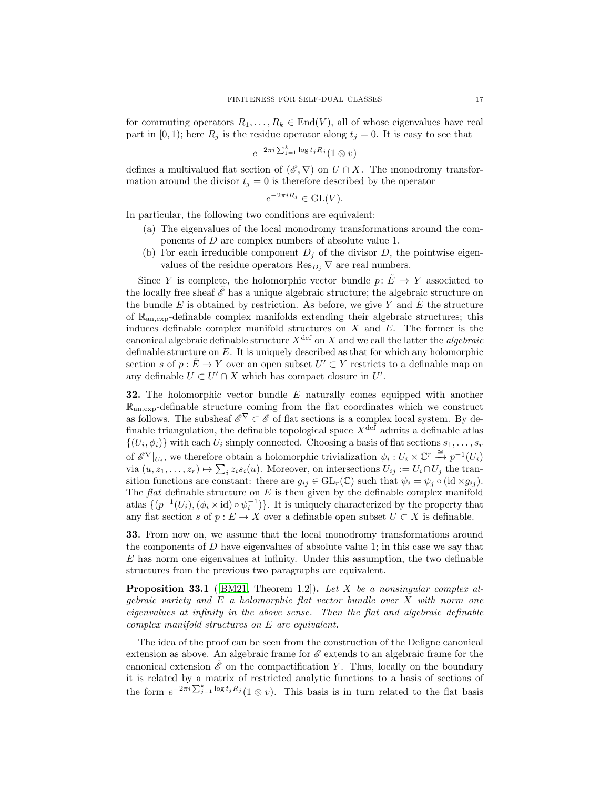for commuting operators  $R_1, \ldots, R_k \in \text{End}(V)$ , all of whose eigenvalues have real part in [0, 1]; here  $R_j$  is the residue operator along  $t_j = 0$ . It is easy to see that

$$
e^{-2\pi i \sum_{j=1}^k \log t_j R_j} (1 \otimes v)
$$

defines a multivalued flat section of  $(\mathscr{E}, \nabla)$  on  $U \cap X$ . The monodromy transformation around the divisor  $t_i = 0$  is therefore described by the operator

$$
e^{-2\pi iR_j} \in \mathrm{GL}(V).
$$

In particular, the following two conditions are equivalent:

- (a) The eigenvalues of the local monodromy transformations around the components of D are complex numbers of absolute value 1.
- (b) For each irreducible component  $D_i$  of the divisor D, the pointwise eigenvalues of the residue operators  $\mathrm{Res}_{D_i}\nabla$  are real numbers.

Since Y is complete, the holomorphic vector bundle  $p: \tilde{E} \to Y$  associated to the locally free sheaf  $\mathscr E$  has a unique algebraic structure; the algebraic structure on the bundle  $E$  is obtained by restriction. As before, we give Y and  $E$  the structure of  $\mathbb{R}_{an,exp}$ -definable complex manifolds extending their algebraic structures; this induces definable complex manifold structures on  $X$  and  $E$ . The former is the canonical algebraic definable structure  $X^{\text{def}}$  on X and we call the latter the *algebraic* definable structure on E. It is uniquely described as that for which any holomorphic section s of  $p: \tilde{E} \to Y$  over an open subset  $U' \subset Y$  restricts to a definable map on any definable  $U \subset U' \cap X$  which has compact closure in U'.

**32.** The holomorphic vector bundle  $E$  naturally comes equipped with another  $\mathbb{R}_{\text{an,exp}}$ -definable structure coming from the flat coordinates which we construct as follows. The subsheaf  $\mathscr{E}^{\nabla} \subset \mathscr{E}$  of flat sections is a complex local system. By definable triangulation, the definable topological space  $X^{\text{def}}$  admits a definable atlas  $\{(U_i, \phi_i)\}\$  with each  $U_i$  simply connected. Choosing a basis of flat sections  $s_1, \ldots, s_r$ of  $\mathscr{E}^{\nabla}|_{U_i}$ , we therefore obtain a holomorphic trivialization  $\psi_i: U_i \times \mathbb{C}^r \stackrel{\cong}{\to} p^{-1}(U_i)$ via  $(u, z_1, \ldots, z_r) \mapsto \sum_i z_i s_i(u)$ . Moreover, on intersections  $U_{ij} := U_i \cap U_j$  the transition functions are constant: there are  $g_{ij} \in GL_r(\mathbb{C})$  such that  $\psi_i = \psi_j \circ (\mathrm{id} \times g_{ij}).$ The  $flat$  definable structure on  $E$  is then given by the definable complex manifold atlas  $\{(p^{-1}(U_i), (\phi_i \times id) \circ \psi_i^{-1})\}$ . It is uniquely characterized by the property that any flat section s of  $p : E \to X$  over a definable open subset  $U \subset X$  is definable.

33. From now on, we assume that the local monodromy transformations around the components of  $D$  have eigenvalues of absolute value 1; in this case we say that  $E$  has norm one eigenvalues at infinity. Under this assumption, the two definable structures from the previous two paragraphs are equivalent.

**Proposition 33.1** ([\[BM21,](#page-24-6) Theorem 1.2]). Let X be a nonsingular complex algebraic variety and E a holomorphic flat vector bundle over X with norm one eigenvalues at infinity in the above sense. Then the flat and algebraic definable complex manifold structures on E are equivalent.

The idea of the proof can be seen from the construction of the Deligne canonical extension as above. An algebraic frame for  $\mathscr E$  extends to an algebraic frame for the canonical extension  $\mathscr E$  on the compactification Y. Thus, locally on the boundary it is related by a matrix of restricted analytic functions to a basis of sections of the form  $e^{-2\pi i \sum_{j=1}^k \log t_j R_j} (1 \otimes v)$ . This basis is in turn related to the flat basis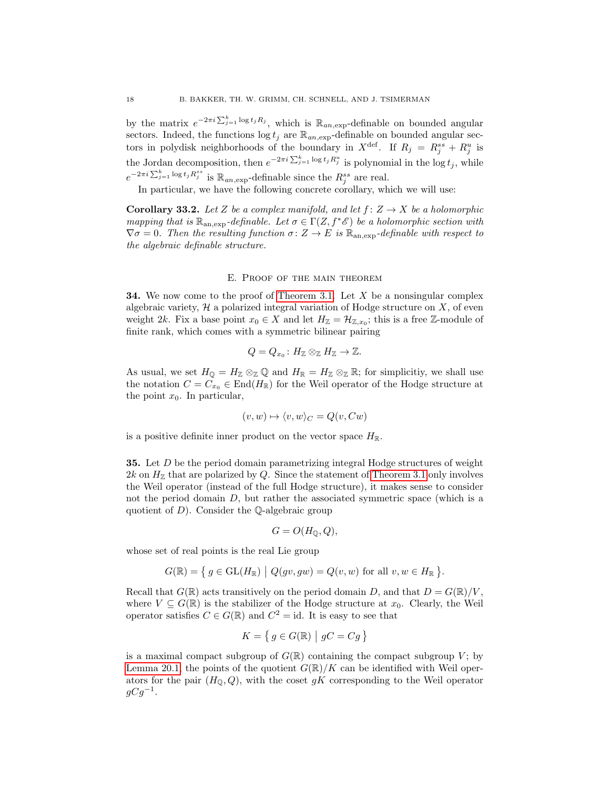by the matrix  $e^{-2\pi i \sum_{j=1}^k \log t_j R_j}$ , which is  $\mathbb{R}_{an,exp}$ -definable on bounded angular sectors. Indeed, the functions  $\log t_i$  are  $\mathbb{R}_{an, \exp}$ -definable on bounded angular sectors in polydisk neighborhoods of the boundary in  $X^{\text{def}}$ . If  $R_j = R_j^{ss} + R_j^u$  is the Jordan decomposition, then  $e^{-2\pi i \sum_{j=1}^k \log t_j R_j^u}$  is polynomial in the log  $t_j$ , while  $e^{-2\pi i \sum_{j=1}^k \log t_j R_j^{ss}}$  is  $\mathbb{R}_{an,\exp}$ -definable since the  $R_j^{ss}$  are real.

In particular, we have the following concrete corollary, which we will use:

<span id="page-17-0"></span>**Corollary 33.2.** Let Z be a complex manifold, and let  $f: Z \rightarrow X$  be a holomorphic mapping that is  $\mathbb{R}_{\text{an,exp}}$ -definable. Let  $\sigma \in \Gamma(Z, f^*\mathscr{E})$  be a holomorphic section with  $\nabla \sigma = 0$ . Then the resulting function  $\sigma : Z \to E$  is  $\mathbb{R}_{\text{an,exp}}$ -definable with respect to the algebraic definable structure.

# E. Proof of the main theorem

**34.** We now come to the proof of [Theorem 3.1.](#page-1-0) Let  $X$  be a nonsingular complex algebraic variety,  $H$  a polarized integral variation of Hodge structure on  $X$ , of even weight 2k. Fix a base point  $x_0 \in X$  and let  $H_{\mathbb{Z}} = \mathcal{H}_{\mathbb{Z},x_0}$ ; this is a free  $\mathbb{Z}$ -module of finite rank, which comes with a symmetric bilinear pairing

$$
Q = Q_{x_0} : H_{\mathbb{Z}} \otimes_{\mathbb{Z}} H_{\mathbb{Z}} \to \mathbb{Z}.
$$

As usual, we set  $H_{\mathbb{Q}} = H_{\mathbb{Z}} \otimes_{\mathbb{Z}} \mathbb{Q}$  and  $H_{\mathbb{R}} = H_{\mathbb{Z}} \otimes_{\mathbb{Z}} \mathbb{R}$ ; for simplicitiy, we shall use the notation  $C = C_{x_0} \in \text{End}(H_{\mathbb{R}})$  for the Weil operator of the Hodge structure at the point  $x_0$ . In particular,

$$
(v, w) \mapsto \langle v, w \rangle_C = Q(v, Cw)
$$

is a positive definite inner product on the vector space  $H_{\mathbb{R}}$ .

35. Let D be the period domain parametrizing integral Hodge structures of weight  $2k$  on  $H_{\mathbb{Z}}$  that are polarized by Q. Since the statement of [Theorem 3.1](#page-1-0) only involves the Weil operator (instead of the full Hodge structure), it makes sense to consider not the period domain  $D$ , but rather the associated symmetric space (which is a quotient of  $D$ ). Consider the Q-algebraic group

$$
G = O(H_{\mathbb{Q}}, Q),
$$

whose set of real points is the real Lie group

$$
G(\mathbb{R}) = \{ g \in GL(H_{\mathbb{R}}) \mid Q(gv, gw) = Q(v, w) \text{ for all } v, w \in H_{\mathbb{R}} \}.
$$

Recall that  $G(\mathbb{R})$  acts transitively on the period domain D, and that  $D = G(\mathbb{R})/V$ , where  $V \subseteq G(\mathbb{R})$  is the stabilizer of the Hodge structure at  $x_0$ . Clearly, the Weil operator satisfies  $C \in G(\mathbb{R})$  and  $C^2 = id$ . It is easy to see that

$$
K = \{ g \in G(\mathbb{R}) \mid gC = Cg \}
$$

is a maximal compact subgroup of  $G(\mathbb{R})$  containing the compact subgroup V; by [Lemma 20.1,](#page-8-1) the points of the quotient  $G(\mathbb{R})/K$  can be identified with Weil operators for the pair  $(H_{\mathbb{Q}}, Q)$ , with the coset gK corresponding to the Weil operator  $gCg^{-1}.$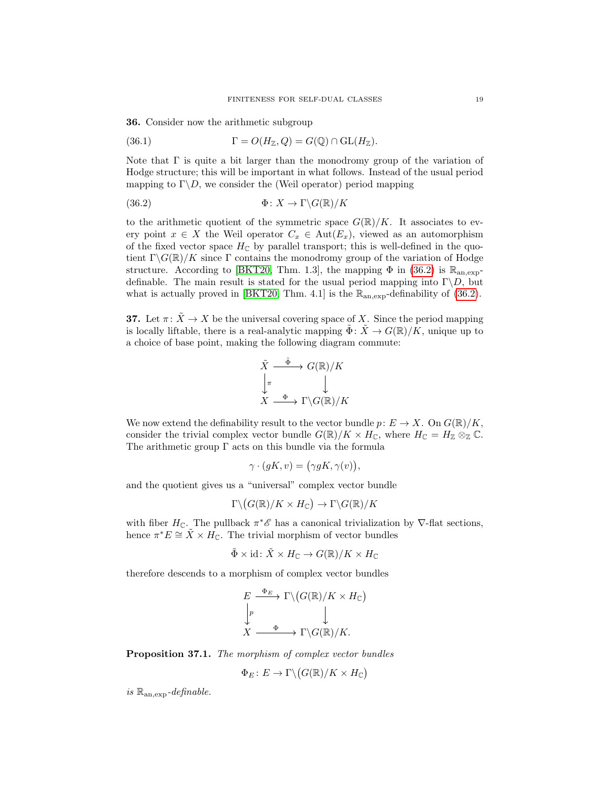36. Consider now the arithmetic subgroup

(36.1) 
$$
\Gamma = O(H_{\mathbb{Z}}, Q) = G(\mathbb{Q}) \cap \text{GL}(H_{\mathbb{Z}}).
$$

Note that  $\Gamma$  is quite a bit larger than the monodromy group of the variation of Hodge structure; this will be important in what follows. Instead of the usual period mapping to  $\Gamma \backslash D$ , we consider the (Weil operator) period mapping

<span id="page-18-0"></span>(36.2) 
$$
\Phi \colon X \to \Gamma \backslash G(\mathbb{R})/K
$$

to the arithmetic quotient of the symmetric space  $G(\mathbb{R})/K$ . It associates to every point  $x \in X$  the Weil operator  $C_x \in \text{Aut}(E_x)$ , viewed as an automorphism of the fixed vector space  $H_{\mathbb{C}}$  by parallel transport; this is well-defined in the quotient  $\Gamma \backslash G(\mathbb{R})/K$  since  $\Gamma$  contains the monodromy group of the variation of Hodge structure. According to [\[BKT20,](#page-24-0) Thm. 1.3], the mapping  $\Phi$  in [\(36.2\)](#page-18-0) is  $\mathbb{R}_{\text{an,exp}}$ definable. The main result is stated for the usual period mapping into  $\Gamma \backslash D$ , but what is actually proved in [\[BKT20,](#page-24-0) Thm. 4.1] is the  $\mathbb{R}_{an,exp}$ -definability of [\(36.2\)](#page-18-0).

**37.** Let  $\pi: \tilde{X} \to X$  be the universal covering space of X. Since the period mapping is locally liftable, there is a real-analytic mapping  $\tilde{\Phi}$ :  $\tilde{X} \to G(\mathbb{R})/K$ , unique up to a choice of base point, making the following diagram commute:

$$
\tilde{X} \xrightarrow{\tilde{\Phi}} G(\mathbb{R})/K
$$
\n
$$
\downarrow \pi
$$
\n
$$
X \xrightarrow{\Phi} \Gamma \backslash G(\mathbb{R})/K
$$

We now extend the definability result to the vector bundle  $p: E \to X$ . On  $G(\mathbb{R})/K$ , consider the trivial complex vector bundle  $G(\mathbb{R})/K \times H_{\mathbb{C}}$ , where  $H_{\mathbb{C}} = H_{\mathbb{Z}} \otimes_{\mathbb{Z}} \mathbb{C}$ . The arithmetic group  $\Gamma$  acts on this bundle via the formula

$$
\gamma \cdot (gK, v) = (\gamma gK, \gamma(v)),
$$

and the quotient gives us a "universal" complex vector bundle

$$
\Gamma \backslash \big( G(\mathbb{R})/K \times H_{\mathbb{C}} \big) \to \Gamma \backslash G(\mathbb{R})/K
$$

with fiber  $H_{\mathbb{C}}$ . The pullback  $\pi^*\mathscr{E}$  has a canonical trivialization by  $\nabla$ -flat sections, hence  $\pi^*E \cong \tilde{X} \times H_{\mathbb{C}}$ . The trivial morphism of vector bundles

$$
\tilde{\Phi} \times id \colon \tilde{X} \times H_{\mathbb{C}} \to G(\mathbb{R})/K \times H_{\mathbb{C}}
$$

therefore descends to a morphism of complex vector bundles

$$
E \xrightarrow{\Phi_E} \Gamma \backslash (G(\mathbb{R})/K \times H_{\mathbb{C}})
$$
  
\n
$$
\downarrow^p \qquad \qquad \downarrow
$$
  
\n
$$
X \xrightarrow{\Phi} \Gamma \backslash G(\mathbb{R})/K.
$$

<span id="page-18-1"></span>Proposition 37.1. The morphism of complex vector bundles

$$
\Phi_E \colon E \to \Gamma \backslash \big( G(\mathbb{R})/K \times H_{\mathbb{C}} \big)
$$

is  $\mathbb{R}_{an,exp}$ -definable.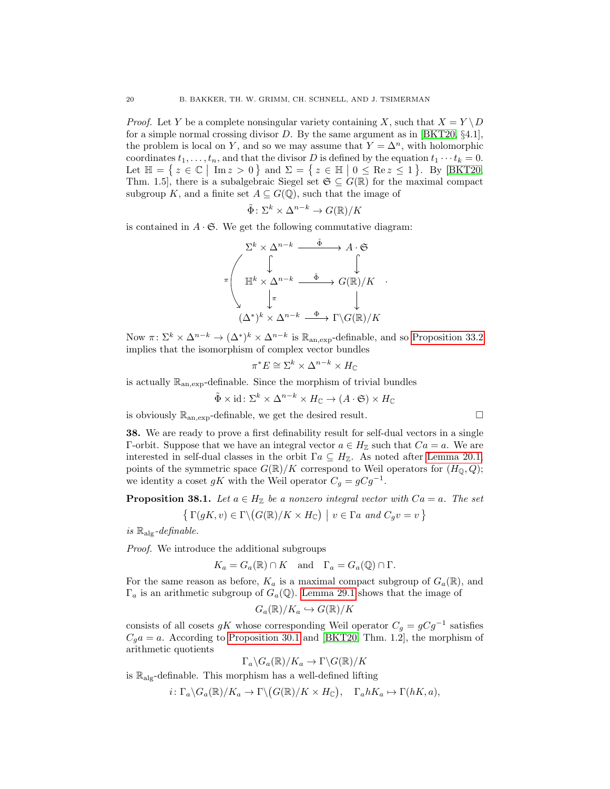*Proof.* Let Y be a complete nonsingular variety containing X, such that  $X = Y \ D$ for a simple normal crossing divisor D. By the same argument as in [\[BKT20,](#page-24-0)  $\S 4.1$ ], the problem is local on Y, and so we may assume that  $Y = \Delta^n$ , with holomorphic coordinates  $t_1, \ldots, t_n$ , and that the divisor D is defined by the equation  $t_1 \cdots t_k = 0$ . Let  $\mathbb{H} = \{ z \in \mathbb{C} \mid \text{Im } z > 0 \}$  and  $\Sigma = \{ z \in \mathbb{H} \mid 0 \le \text{Re } z \le 1 \}$ . By [\[BKT20,](#page-24-0) Thm. 1.5], there is a subalgebraic Siegel set  $\mathfrak{S} \subseteq G(\mathbb{R})$  for the maximal compact subgroup K, and a finite set  $A \subseteq G(\mathbb{Q})$ , such that the image of

$$
\tilde{\Phi} \colon \Sigma^k \times \Delta^{n-k} \to G(\mathbb{R})/K
$$

is contained in  $A \cdot \mathfrak{S}$ . We get the following commutative diagram:

$$
\Sigma^{k} \times \Delta^{n-k} \xrightarrow{\tilde{\Phi}} A \cdot \mathfrak{S}
$$
\n
$$
\pi \begin{pmatrix}\n\downarrow & \downarrow & \downarrow \\
\text{H}^{k} \times \Delta^{n-k} & \xrightarrow{\tilde{\Phi}} G(\mathbb{R})/K \\
\downarrow^{\pi} & \downarrow & \downarrow \\
(\Delta^{*})^{k} \times \Delta^{n-k} & \xrightarrow{\Phi} \Gamma \backslash G(\mathbb{R})/K\n\end{pmatrix}
$$

.

Now  $\pi: \Sigma^k \times \Delta^{n-k} \to (\Delta^*)^k \times \Delta^{n-k}$  is  $\mathbb{R}_{\text{an,exp}}$ -definable, and so [Proposition 33.2](#page-17-0) implies that the isomorphism of complex vector bundles

$$
\pi^*E\cong\Sigma^k\times\Delta^{n-k}\times H_{\mathbb C}
$$

is actually  $\mathbb{R}_{an,exp}$ -definable. Since the morphism of trivial bundles

$$
\tilde{\Phi} \times id \colon \Sigma^k \times \Delta^{n-k} \times H_{\mathbb{C}} \to (A \cdot \mathfrak{S}) \times H_{\mathbb{C}}
$$

is obviously  $\mathbb{R}_{an,exp}$ -definable, we get the desired result.

38. We are ready to prove a first definability result for self-dual vectors in a single Γ-orbit. Suppose that we have an integral vector  $a \in H_{\mathbb{Z}}$  such that  $Ca = a$ . We are interested in self-dual classes in the orbit  $\Gamma a \subseteq H_{\mathbb{Z}}$ . As noted after [Lemma 20.1,](#page-8-1) points of the symmetric space  $G(\mathbb{R})/K$  correspond to Weil operators for  $(H_{\mathbb{Q}}, Q)$ ; we identity a coset gK with the Weil operator  $C_g = gCg^{-1}$ .

<span id="page-19-0"></span>**Proposition 38.1.** Let  $a \in H_{\mathbb{Z}}$  be a nonzero integral vector with  $Ca = a$ . The set

$$
\{ \Gamma(gK, v) \in \Gamma \backslash (G(\mathbb{R})/K \times H_{\mathbb{C}}) \mid v \in \Gamma a \text{ and } C_g v = v \}
$$

is  $\mathbb{R}_{\text{alg}}$ -definable.

Proof. We introduce the additional subgroups

 $K_a = G_a(\mathbb{R}) \cap K$  and  $\Gamma_a = G_a(\mathbb{Q}) \cap \Gamma$ .

For the same reason as before,  $K_a$  is a maximal compact subgroup of  $G_a(\mathbb{R})$ , and  $\Gamma_a$  is an arithmetic subgroup of  $G_a(\mathbb{Q})$ . [Lemma 29.1](#page-14-0) shows that the image of

$$
G_a(\mathbb{R})/K_a \hookrightarrow G(\mathbb{R})/K
$$

consists of all cosets gK whose corresponding Weil operator  $C_g = gCg^{-1}$  satisfies  $C_g a = a$ . According to [Proposition 30.1](#page-14-1) and [\[BKT20,](#page-24-0) Thm. 1.2], the morphism of arithmetic quotients

$$
\Gamma_a \backslash G_a(\mathbb{R})/K_a \to \Gamma \backslash G(\mathbb{R})/K
$$

is  $\mathbb{R}_{\text{ale}}$ -definable. This morphism has a well-defined lifting

$$
i\colon \Gamma_a\backslash G_a(\mathbb{R})/K_a\to \Gamma\backslash \big(G(\mathbb{R})/K\times H_{\mathbb{C}}\big),\quad \Gamma_a hK_a\mapsto \Gamma(hK,a),
$$

$$
\Box
$$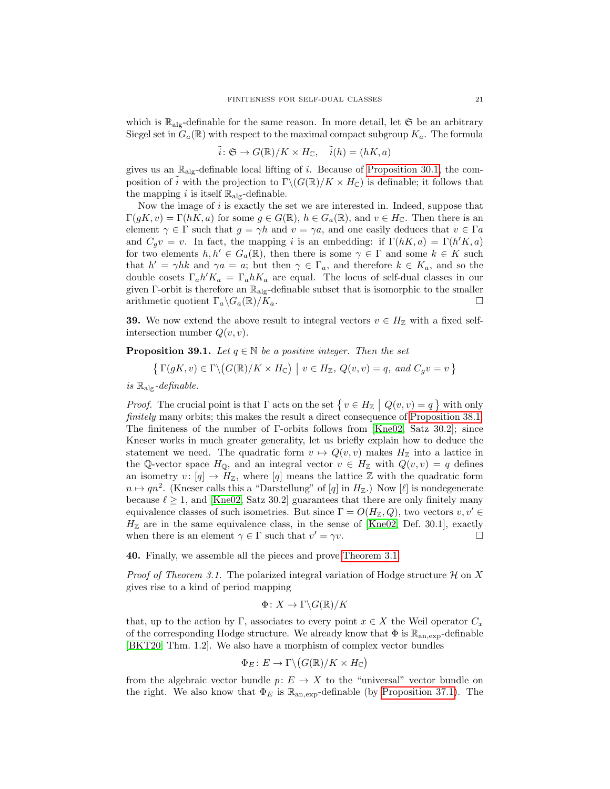which is  $\mathbb{R}_{\text{ale}}$ -definable for the same reason. In more detail, let  $\mathfrak{S}$  be an arbitrary Siegel set in  $G_a(\mathbb{R})$  with respect to the maximal compact subgroup  $K_a$ . The formula

$$
\tilde{i}: \mathfrak{S} \to G(\mathbb{R})/K \times H_{\mathbb{C}}, \quad \tilde{i}(h) = (hK, a)
$$

gives us an  $\mathbb{R}_{\text{alg}}$ -definable local lifting of i. Because of [Proposition 30.1,](#page-14-1) the composition of i with the projection to  $\Gamma \backslash (G(\mathbb{R})/K \times H_{\mathbb{C}})$  is definable; it follows that the mapping i is itself  $\mathbb{R}_{\text{alg}}$ -definable.

Now the image of  $i$  is exactly the set we are interested in. Indeed, suppose that  $\Gamma(gK, v) = \Gamma(hK, a)$  for some  $g \in G(\mathbb{R}), h \in G_a(\mathbb{R}),$  and  $v \in H_{\mathbb{C}}$ . Then there is an element  $\gamma \in \Gamma$  such that  $g = \gamma h$  and  $v = \gamma a$ , and one easily deduces that  $v \in \Gamma a$ and  $C_g v = v$ . In fact, the mapping i is an embedding: if  $\Gamma(hK, a) = \Gamma(h'K, a)$ for two elements  $h, h' \in G_a(\mathbb{R})$ , then there is some  $\gamma \in \Gamma$  and some  $k \in K$  such that  $h' = \gamma hk$  and  $\gamma a = a$ ; but then  $\gamma \in \Gamma_a$ , and therefore  $k \in K_a$ , and so the double cosets  $\Gamma_a h' K_a = \Gamma_a h K_a$  are equal. The locus of self-dual classes in our given  $\Gamma$ -orbit is therefore an  $\mathbb{R}_{\text{alg}}$ -definable subset that is isomorphic to the smaller arithmetic quotient  $\Gamma_a \backslash G_a(\mathbb{R})/K_a$ .

**39.** We now extend the above result to integral vectors  $v \in H_{\mathbb{Z}}$  with a fixed selfintersection number  $Q(v, v)$ .

<span id="page-20-0"></span>**Proposition 39.1.** Let  $q \in \mathbb{N}$  be a positive integer. Then the set

$$
\{ \Gamma(gK, v) \in \Gamma \setminus (G(\mathbb{R})/K \times H_{\mathbb{C}}) \mid v \in H_{\mathbb{Z}}, Q(v, v) = q, \text{ and } C_g v = v \}
$$

is  $\mathbb{R}_{\text{alg}}$ -definable.

*Proof.* The crucial point is that  $\Gamma$  acts on the set  $\{v \in H_{\mathbb{Z}} \mid Q(v, v) = q\}$  with only finitely many orbits; this makes the result a direct consequence of [Proposition 38.1.](#page-19-0) The finiteness of the number of Γ-orbits follows from [\[Kne02,](#page-25-12) Satz 30.2]; since Kneser works in much greater generality, let us briefly explain how to deduce the statement we need. The quadratic form  $v \mapsto Q(v, v)$  makes  $H_{\mathbb{Z}}$  into a lattice in the Q-vector space  $H_{\mathbb{Q}}$ , and an integral vector  $v \in H_{\mathbb{Z}}$  with  $Q(v, v) = q$  defines an isometry  $v: [q] \to H_{\mathbb{Z}}$ , where  $[q]$  means the lattice  $\mathbb Z$  with the quadratic form  $n \mapsto qn^2$ . (Kneser calls this a "Darstellung" of [q] in  $H_{\mathbb{Z}}$ .) Now [ $\ell$ ] is nondegenerate because  $\ell \geq 1$ , and [\[Kne02,](#page-25-12) Satz 30.2] guarantees that there are only finitely many equivalence classes of such isometries. But since  $\Gamma = O(H_{\mathbb{Z}}, Q)$ , two vectors  $v, v' \in$  $H_{\mathbb{Z}}$  are in the same equivalence class, in the sense of [\[Kne02,](#page-25-12) Def. 30.1], exactly when there is an element  $\gamma \in \Gamma$  such that  $v' = \gamma v$ .

40. Finally, we assemble all the pieces and prove [Theorem 3.1.](#page-1-0)

*Proof of Theorem 3.1.* The polarized integral variation of Hodge structure  $\mathcal H$  on X gives rise to a kind of period mapping

$$
\Phi \colon X \to \Gamma \backslash G(\mathbb{R})/K
$$

that, up to the action by Γ, associates to every point  $x \in X$  the Weil operator  $C_x$ of the corresponding Hodge structure. We already know that  $\Phi$  is  $\mathbb{R}_{\text{an,exp}}$ -definable [\[BKT20,](#page-24-0) Thm. 1.2]. We also have a morphism of complex vector bundles

$$
\Phi_E \colon E \to \Gamma \backslash \big( G(\mathbb{R})/K \times H_{\mathbb{C}} \big)
$$

from the algebraic vector bundle  $p: E \to X$  to the "universal" vector bundle on the right. We also know that  $\Phi_E$  is  $\mathbb{R}_{an,exp}$ -definable (by [Proposition 37.1\)](#page-18-1). The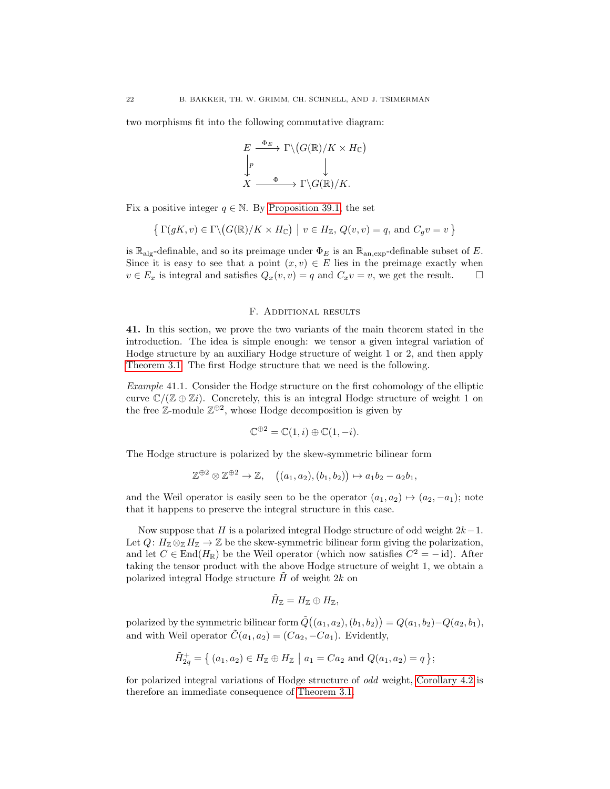two morphisms fit into the following commutative diagram:

$$
E \xrightarrow{\Phi_E} \Gamma \backslash (G(\mathbb{R})/K \times H_{\mathbb{C}})
$$
  
\n
$$
\downarrow^p \qquad \qquad \downarrow
$$
  
\n
$$
X \xrightarrow{\Phi} \Gamma \backslash G(\mathbb{R})/K.
$$

Fix a positive integer  $q \in \mathbb{N}$ . By [Proposition 39.1,](#page-20-0) the set

$$
\left\{ \left. \Gamma(gK, v) \in \Gamma \backslash \big( G(\mathbb{R})/K \times H_{\mathbb{C}} \big) \ \right| \ v \in H_{\mathbb{Z}}, \, Q(v, v) = q, \, \text{and} \, \, C_g v = v \, \right\}
$$

is  $\mathbb{R}_{\text{alg}}$ -definable, and so its preimage under  $\Phi_E$  is an  $\mathbb{R}_{\text{an,exp}}$ -definable subset of E. Since it is easy to see that a point  $(x, v) \in E$  lies in the preimage exactly when  $v \in E_x$  is integral and satisfies  $Q_x(v, v) = q$  and  $C_x v = v$ , we get the result.

#### F. Additional results

41. In this section, we prove the two variants of the main theorem stated in the introduction. The idea is simple enough: we tensor a given integral variation of Hodge structure by an auxiliary Hodge structure of weight 1 or 2, and then apply [Theorem 3.1.](#page-1-0) The first Hodge structure that we need is the following.

<span id="page-21-0"></span>Example 41.1. Consider the Hodge structure on the first cohomology of the elliptic curve  $\mathbb{C}/(\mathbb{Z} \oplus \mathbb{Z} i)$ . Concretely, this is an integral Hodge structure of weight 1 on the free  $\mathbb{Z}\text{-module } \mathbb{Z}^{\oplus 2}$ , whose Hodge decomposition is given by

$$
\mathbb{C}^{\oplus 2} = \mathbb{C}(1, i) \oplus \mathbb{C}(1, -i).
$$

The Hodge structure is polarized by the skew-symmetric bilinear form

$$
\mathbb{Z}^{\oplus 2}\otimes \mathbb{Z}^{\oplus 2}\to \mathbb{Z}, \quad ((a_1,a_2),(b_1,b_2))\mapsto a_1b_2-a_2b_1,
$$

and the Weil operator is easily seen to be the operator  $(a_1, a_2) \mapsto (a_2, -a_1)$ ; note that it happens to preserve the integral structure in this case.

Now suppose that H is a polarized integral Hodge structure of odd weight  $2k-1$ . Let  $Q: H_{\mathbb{Z}} \otimes_{\mathbb{Z}} H_{\mathbb{Z}} \to \mathbb{Z}$  be the skew-symmetric bilinear form giving the polarization, and let  $C \in End(H_{\mathbb{R}})$  be the Weil operator (which now satisfies  $C^2 = -id$ ). After taking the tensor product with the above Hodge structure of weight 1, we obtain a polarized integral Hodge structure  $H$  of weight 2k on

$$
\tilde{H}_{\mathbb{Z}}=H_{\mathbb{Z}}\oplus H_{\mathbb{Z}},
$$

polarized by the symmetric bilinear form  $\tilde{Q}((a_1,a_2),(b_1,b_2))=Q(a_1,b_2)-Q(a_2,b_1),$ and with Weil operator  $\tilde{C}(a_1, a_2) = (Ca_2, -Ca_1)$ . Evidently,

$$
\tilde{H}_{2q}^+ = \{ (a_1, a_2) \in H_{\mathbb{Z}} \oplus H_{\mathbb{Z}} \mid a_1 = Ca_2 \text{ and } Q(a_1, a_2) = q \};
$$

for polarized integral variations of Hodge structure of odd weight, [Corollary 4.2](#page-2-0) is therefore an immediate consequence of [Theorem 3.1.](#page-1-0)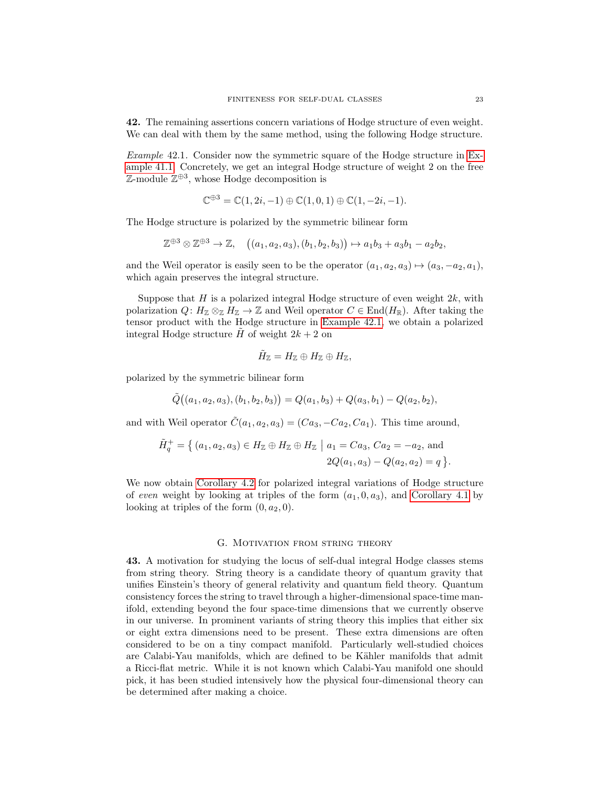42. The remaining assertions concern variations of Hodge structure of even weight. We can deal with them by the same method, using the following Hodge structure.

<span id="page-22-0"></span>Example 42.1. Consider now the symmetric square of the Hodge structure in [Ex](#page-21-0)[ample 41.1.](#page-21-0) Concretely, we get an integral Hodge structure of weight 2 on the free  $\mathbb{Z}\text{-module } \mathbb{Z}^{\oplus 3}$ , whose Hodge decomposition is

$$
\mathbb{C}^{\oplus 3} = \mathbb{C}(1, 2i, -1) \oplus \mathbb{C}(1, 0, 1) \oplus \mathbb{C}(1, -2i, -1).
$$

The Hodge structure is polarized by the symmetric bilinear form

$$
\mathbb{Z}^{\oplus 3}\otimes \mathbb{Z}^{\oplus 3}\to \mathbb{Z}, \quad ((a_1,a_2,a_3),(b_1,b_2,b_3))\mapsto a_1b_3+a_3b_1-a_2b_2,
$$

and the Weil operator is easily seen to be the operator  $(a_1, a_2, a_3) \mapsto (a_3, -a_2, a_1)$ , which again preserves the integral structure.

Suppose that  $H$  is a polarized integral Hodge structure of even weight  $2k$ , with polarization  $Q: H_{\mathbb{Z}} \otimes_{\mathbb{Z}} H_{\mathbb{Z}} \to \mathbb{Z}$  and Weil operator  $C \in End(H_{\mathbb{R}})$ . After taking the tensor product with the Hodge structure in [Example 42.1,](#page-22-0) we obtain a polarized integral Hodge structure  $\tilde{H}$  of weight  $2k + 2$  on

$$
\tilde H_{\mathbb Z}=H_{\mathbb Z}\oplus H_{\mathbb Z}\oplus H_{\mathbb Z},
$$

polarized by the symmetric bilinear form

$$
\tilde{Q}((a_1,a_2,a_3),(b_1,b_2,b_3)) = Q(a_1,b_3) + Q(a_3,b_1) - Q(a_2,b_2),
$$

and with Weil operator  $\tilde{C}(a_1, a_2, a_3) = (Ca_3, -Ca_2, Ca_1)$ . This time around,

$$
\tilde{H}_q^+ = \{ (a_1, a_2, a_3) \in H_\mathbb{Z} \oplus H_\mathbb{Z} \oplus H_\mathbb{Z} \mid a_1 = Ca_3, Ca_2 = -a_2, \text{ and}
$$
  

$$
2Q(a_1, a_3) - Q(a_2, a_2) = q \}.
$$

We now obtain [Corollary 4.2](#page-2-0) for polarized integral variations of Hodge structure of even weight by looking at triples of the form  $(a_1, 0, a_3)$ , and [Corollary 4.1](#page-1-1) by looking at triples of the form  $(0, a_2, 0)$ .

### G. MOTIVATION FROM STRING THEORY

43. A motivation for studying the locus of self-dual integral Hodge classes stems from string theory. String theory is a candidate theory of quantum gravity that unifies Einstein's theory of general relativity and quantum field theory. Quantum consistency forces the string to travel through a higher-dimensional space-time manifold, extending beyond the four space-time dimensions that we currently observe in our universe. In prominent variants of string theory this implies that either six or eight extra dimensions need to be present. These extra dimensions are often considered to be on a tiny compact manifold. Particularly well-studied choices are Calabi-Yau manifolds, which are defined to be Kähler manifolds that admit a Ricci-flat metric. While it is not known which Calabi-Yau manifold one should pick, it has been studied intensively how the physical four-dimensional theory can be determined after making a choice.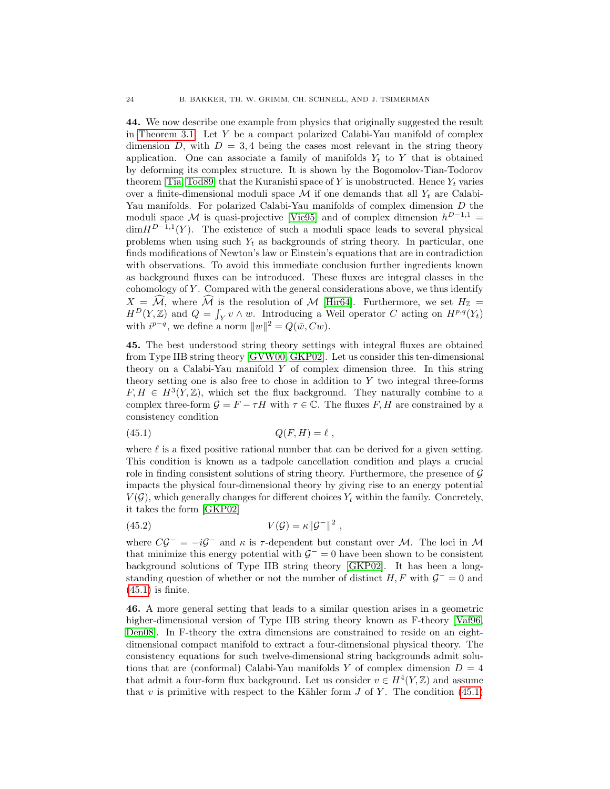44. We now describe one example from physics that originally suggested the result in [Theorem 3.1.](#page-1-0) Let Y be a compact polarized Calabi-Yau manifold of complex dimension D, with  $D = 3, 4$  being the cases most relevant in the string theory application. One can associate a family of manifolds  $Y_t$  to Y that is obtained by deforming its complex structure. It is shown by the Bogomolov-Tian-Todorov theorem [\[Tia,](#page-25-13) [Tod89\]](#page-25-14) that the Kuranishi space of Y is unobstructed. Hence  $Y_t$  varies over a finite-dimensional moduli space  $\mathcal M$  if one demands that all  $Y_t$  are Calabi-Yau manifolds. For polarized Calabi-Yau manifolds of complex dimension D the moduli space M is quasi-projective [\[Vie95\]](#page-26-1) and of complex dimension  $h^{D-1,1}$  =  $\dim H^{D-1,1}(Y)$ . The existence of such a moduli space leads to several physical problems when using such  $Y_t$  as backgrounds of string theory. In particular, one finds modifications of Newton's law or Einstein's equations that are in contradiction with observations. To avoid this immediate conclusion further ingredients known as background fluxes can be introduced. These fluxes are integral classes in the cohomology of Y . Compared with the general considerations above, we thus identify  $X = \widehat{\mathcal{M}}$ , where  $\widehat{\mathcal{M}}$  is the resolution of M [\[Hir64\]](#page-25-15). Furthermore, we set  $H_{\mathbb{Z}} =$  $H^D(Y, \mathbb{Z})$  and  $Q = \int_Y v \wedge w$ . Introducing a Weil operator C acting on  $H^{p,q}(Y_t)$ with  $i^{p-q}$ , we define a norm  $||w||^2 = Q(\bar{w}, Cw)$ .

45. The best understood string theory settings with integral fluxes are obtained from Type IIB string theory [\[GVW00,](#page-25-16) [GKP02\]](#page-25-17). Let us consider this ten-dimensional theory on a Calabi-Yau manifold  $Y$  of complex dimension three. In this string theory setting one is also free to chose in addition to  $Y$  two integral three-forms  $F, H \in H^3(Y, \mathbb{Z})$ , which set the flux background. They naturally combine to a complex three-form  $\mathcal{G} = F - \tau H$  with  $\tau \in \mathbb{C}$ . The fluxes F, H are constrained by a consistency condition

<span id="page-23-0"></span>
$$
(45.1) \tQ(F,H) = \ell \t,
$$

where  $\ell$  is a fixed positive rational number that can be derived for a given setting. This condition is known as a tadpole cancellation condition and plays a crucial role in finding consistent solutions of string theory. Furthermore, the presence of  $\mathcal G$ impacts the physical four-dimensional theory by giving rise to an energy potential  $V(\mathcal{G})$ , which generally changes for different choices  $Y_t$  within the family. Concretely, it takes the form [\[GKP02\]](#page-25-17)

$$
(45.2) \t\t V(\mathcal{G}) = \kappa \|\mathcal{G}^-\|^2,
$$

where  $C\mathcal{G}^- = -i\mathcal{G}^-$  and  $\kappa$  is  $\tau$ -dependent but constant over M. The loci in M that minimize this energy potential with  $\mathcal{G}^- = 0$  have been shown to be consistent background solutions of Type IIB string theory [\[GKP02\]](#page-25-17). It has been a longstanding question of whether or not the number of distinct  $H, F$  with  $\mathcal{G}^- = 0$  and  $(45.1)$  is finite.

46. A more general setting that leads to a similar question arises in a geometric higher-dimensional version of Type IIB string theory known as F-theory [\[Vaf96,](#page-25-18) [Den08\]](#page-25-19). In F-theory the extra dimensions are constrained to reside on an eightdimensional compact manifold to extract a four-dimensional physical theory. The consistency equations for such twelve-dimensional string backgrounds admit solutions that are (conformal) Calabi-Yau manifolds Y of complex dimension  $D = 4$ that admit a four-form flux background. Let us consider  $v \in H^4(Y, \mathbb{Z})$  and assume that v is primitive with respect to the Kähler form  $J$  of  $Y$ . The condition [\(45.1\)](#page-23-0)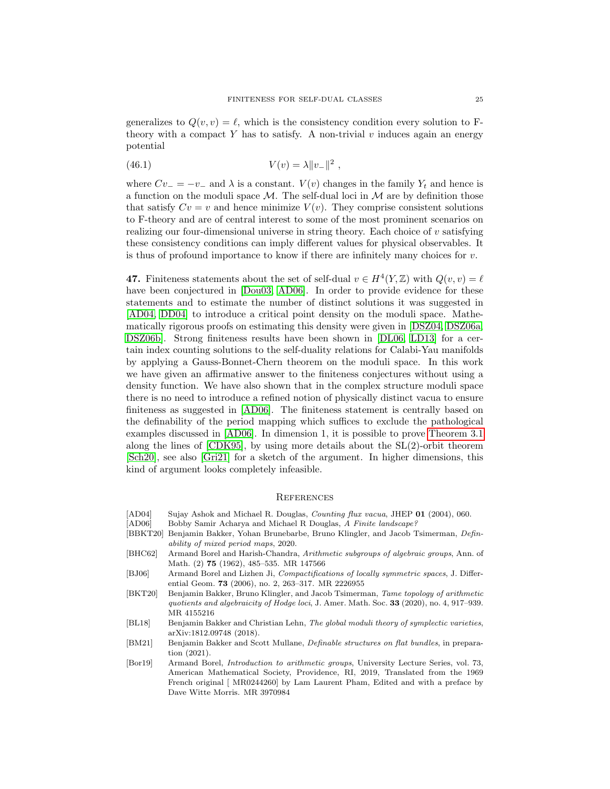generalizes to  $Q(v, v) = \ell$ , which is the consistency condition every solution to Ftheory with a compact Y has to satisfy. A non-trivial v induces again an energy potential

(46.1) 
$$
V(v) = \lambda \|v_{-}\|^2,
$$

where  $Cv_ - = -v_ -$  and  $\lambda$  is a constant.  $V(v)$  changes in the family  $Y_t$  and hence is a function on the moduli space  $\mathcal M$ . The self-dual loci in  $\mathcal M$  are by definition those that satisfy  $Cv = v$  and hence minimize  $V(v)$ . They comprise consistent solutions to F-theory and are of central interest to some of the most prominent scenarios on realizing our four-dimensional universe in string theory. Each choice of  $v$  satisfying these consistency conditions can imply different values for physical observables. It is thus of profound importance to know if there are infinitely many choices for  $v$ .

47. Finiteness statements about the set of self-dual  $v \in H^4(Y, \mathbb{Z})$  with  $Q(v, v) = \ell$ have been conjectured in [\[Dou03,](#page-25-20) [AD06\]](#page-24-7). In order to provide evidence for these statements and to estimate the number of distinct solutions it was suggested in [\[AD04,](#page-24-8) [DD04\]](#page-25-21) to introduce a critical point density on the moduli space. Mathematically rigorous proofs on estimating this density were given in [\[DSZ04,](#page-25-22) [DSZ06a,](#page-25-23) [DSZ06b\]](#page-25-24). Strong finiteness results have been shown in [\[DL06,](#page-25-25) [LD13\]](#page-25-26) for a certain index counting solutions to the self-duality relations for Calabi-Yau manifolds by applying a Gauss-Bonnet-Chern theorem on the moduli space. In this work we have given an affirmative answer to the finiteness conjectures without using a density function. We have also shown that in the complex structure moduli space there is no need to introduce a refined notion of physically distinct vacua to ensure finiteness as suggested in [\[AD06\]](#page-24-7). The finiteness statement is centrally based on the definability of the period mapping which suffices to exclude the pathological examples discussed in [\[AD06\]](#page-24-7). In dimension 1, it is possible to prove [Theorem 3.1](#page-1-0) along the lines of [\[CDK95\]](#page-25-0), by using more details about the SL(2)-orbit theorem [\[Sch20\]](#page-25-27), see also [\[Gri21\]](#page-25-28) for a sketch of the argument. In higher dimensions, this kind of argument looks completely infeasible.

# **REFERENCES**

- <span id="page-24-8"></span>[AD04] Sujay Ashok and Michael R. Douglas, Counting flux vacua, JHEP 01 (2004), 060.
- <span id="page-24-7"></span>[AD06] Bobby Samir Acharya and Michael R Douglas, A Finite landscape?
- <span id="page-24-2"></span>[BBKT20] Benjamin Bakker, Yohan Brunebarbe, Bruno Klingler, and Jacob Tsimerman, Definability of mixed period maps, 2020.
- <span id="page-24-5"></span>[BHC62] Armand Borel and Harish-Chandra, Arithmetic subgroups of algebraic groups, Ann. of Math. (2) 75 (1962), 485-535. MR 147566
- <span id="page-24-3"></span>[BJ06] Armand Borel and Lizhen Ji, Compactifications of locally symmetric spaces, J. Differential Geom. 73 (2006), no. 2, 263–317. MR 2226955
- <span id="page-24-0"></span>[BKT20] Benjamin Bakker, Bruno Klingler, and Jacob Tsimerman, Tame topology of arithmetic quotients and algebraicity of Hodge loci, J. Amer. Math. Soc. 33 (2020), no. 4, 917–939. MR 4155216
- <span id="page-24-1"></span>[BL18] Benjamin Bakker and Christian Lehn, The global moduli theory of symplectic varieties, arXiv:1812.09748 (2018).
- <span id="page-24-6"></span>[BM21] Benjamin Bakker and Scott Mullane, *Definable structures on flat bundles*, in preparation (2021).
- <span id="page-24-4"></span>[Bor19] Armand Borel, Introduction to arithmetic groups, University Lecture Series, vol. 73, American Mathematical Society, Providence, RI, 2019, Translated from the 1969 French original [ MR0244260] by Lam Laurent Pham, Edited and with a preface by Dave Witte Morris. MR 3970984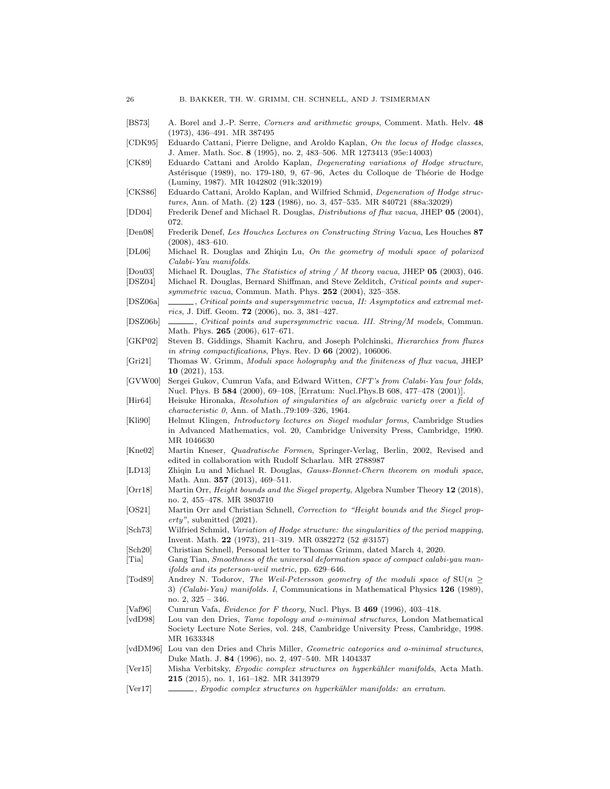- <span id="page-25-7"></span>[BS73] A. Borel and J.-P. Serre, Corners and arithmetic groups, Comment. Math. Helv. 48 (1973), 436–491. MR 387495
- <span id="page-25-0"></span>[CDK95] Eduardo Cattani, Pierre Deligne, and Aroldo Kaplan, On the locus of Hodge classes, J. Amer. Math. Soc. 8 (1995), no. 2, 483–506. MR 1273413 (95e:14003)
- <span id="page-25-4"></span>[CK89] Eduardo Cattani and Aroldo Kaplan, Degenerating variations of Hodge structure, Astérisque (1989), no. 179-180, 9, 67-96, Actes du Colloque de Théorie de Hodge (Luminy, 1987). MR 1042802 (91k:32019)
- <span id="page-25-3"></span>[CKS86] Eduardo Cattani, Aroldo Kaplan, and Wilfried Schmid, *Degeneration of Hodge struc*tures, Ann. of Math. (2) 123 (1986), no. 3, 457–535. MR 840721 (88a:32029)
- <span id="page-25-21"></span>[DD04] Frederik Denef and Michael R. Douglas, Distributions of flux vacua, JHEP 05 (2004), 072.
- <span id="page-25-19"></span>[Den08] Frederik Denef, Les Houches Lectures on Constructing String Vacua, Les Houches 87 (2008), 483–610.
- <span id="page-25-25"></span>[DL06] Michael R. Douglas and Zhiqin Lu, On the geometry of moduli space of polarized Calabi-Yau manifolds.
- <span id="page-25-20"></span>[Dou03] Michael R. Douglas, The Statistics of string / M theory vacua, JHEP 05 (2003), 046.
- <span id="page-25-22"></span>[DSZ04] Michael R. Douglas, Bernard Shiffman, and Steve Zelditch, Critical points and supersymmetric vacua, Commun. Math. Phys. 252 (2004), 325-358.
- <span id="page-25-23"></span>[DSZ06a] , Critical points and supersymmetric vacua, II: Asymptotics and extremal metrics, J. Diff. Geom.  $72$  (2006), no. 3, 381-427.
- <span id="page-25-24"></span>[DSZ06b] , Critical points and supersymmetric vacua. III. String/M models, Commun. Math. Phys. 265 (2006), 617-671.
- <span id="page-25-17"></span>[GKP02] Steven B. Giddings, Shamit Kachru, and Joseph Polchinski, Hierarchies from fluxes in string compactifications, Phys. Rev. D  $66$  (2002), 106006.
- <span id="page-25-28"></span>[Gri21] Thomas W. Grimm, Moduli space holography and the finiteness of flux vacua, JHEP 10 (2021), 153.
- <span id="page-25-16"></span>[GVW00] Sergei Gukov, Cumrun Vafa, and Edward Witten, CFT's from Calabi-Yau four folds, Nucl. Phys. B 584 (2000), 69–108, [Erratum: Nucl.Phys.B 608, 477–478 (2001)].
- <span id="page-25-15"></span>[Hir64] Heisuke Hironaka, Resolution of singularities of an algebraic variety over a field of characteristic 0, Ann. of Math.,79:109–326, 1964.
- <span id="page-25-11"></span>[Kli90] Helmut Klingen, Introductory lectures on Siegel modular forms, Cambridge Studies in Advanced Mathematics, vol. 20, Cambridge University Press, Cambridge, 1990. MR 1046630
- <span id="page-25-12"></span>[Kne02] Martin Kneser, Quadratische Formen, Springer-Verlag, Berlin, 2002, Revised and edited in collaboration with Rudolf Scharlau. MR 2788987
- <span id="page-25-26"></span>[LD13] Zhiqin Lu and Michael R. Douglas, Gauss-Bonnet-Chern theorem on moduli space, Math. Ann. 357 (2013), 469–511.
- <span id="page-25-8"></span>[Orr18] Martin Orr, Height bounds and the Siegel property, Algebra Number Theory 12 (2018), no. 2, 455–478. MR 3803710
- <span id="page-25-10"></span>[OS21] Martin Orr and Christian Schnell, Correction to "Height bounds and the Siegel property", submitted (2021).
- <span id="page-25-9"></span>[Sch73] Wilfried Schmid, Variation of Hodge structure: the singularities of the period mapping, Invent. Math. 22 (1973), 211–319. MR 0382272 (52 #3157)
- <span id="page-25-27"></span>[Sch20] Christian Schnell, Personal letter to Thomas Grimm, dated March 4, 2020.
- <span id="page-25-13"></span>[Tia] Gang Tian, Smoothness of the universal deformation space of compact calabi-yau manifolds and its peterson-weil metric, pp. 629–646.
- <span id="page-25-14"></span>[Tod89] Andrey N. Todorov, The Weil-Petersson geometry of the moduli space of  $SU(n \geq 1)$ 3) (Calabi-Yau) manifolds. I, Communications in Mathematical Physics 126 (1989), no. 2, 325 – 346.
- <span id="page-25-18"></span>[Vaf96] Cumrun Vafa, Evidence for F theory, Nucl. Phys. B 469 (1996), 403–418.
- <span id="page-25-5"></span>[vdD98] Lou van den Dries, Tame topology and o-minimal structures, London Mathematical Society Lecture Note Series, vol. 248, Cambridge University Press, Cambridge, 1998. MR 1633348
- <span id="page-25-6"></span>[vdDM96] Lou van den Dries and Chris Miller, Geometric categories and o-minimal structures, Duke Math. J. 84 (1996), no. 2, 497–540. MR 1404337
- <span id="page-25-1"></span>[Ver15] Misha Verbitsky, Ergodic complex structures on hyperkähler manifolds, Acta Math. 215 (2015), no. 1, 161–182. MR 3413979
- <span id="page-25-2"></span>[Ver17] , Ergodic complex structures on hyperkähler manifolds: an erratum.